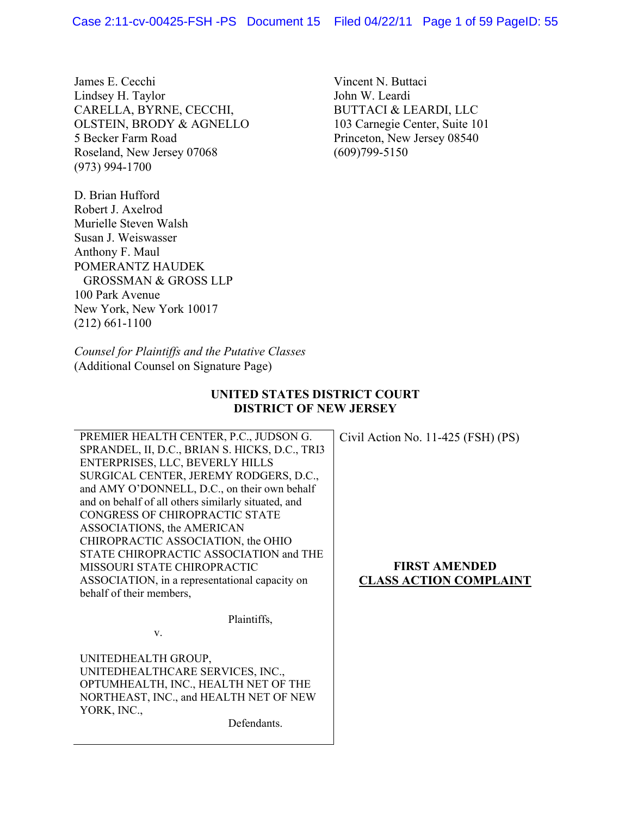James E. Cecchi Lindsey H. Taylor CARELLA, BYRNE, CECCHI, OLSTEIN, BRODY & AGNELLO 5 Becker Farm Road Roseland, New Jersey 07068 (973) 994-1700

D. Brian Hufford Robert J. Axelrod Murielle Steven Walsh Susan J. Weiswasser Anthony F. Maul POMERANTZ HAUDEK GROSSMAN & GROSS LLP 100 Park Avenue New York, New York 10017 (212) 661-1100

Vincent N. Buttaci John W. Leardi BUTTACI & LEARDI, LLC 103 Carnegie Center, Suite 101 Princeton, New Jersey 08540 (609)799-5150

*Counsel for Plaintiffs and the Putative Classes*  (Additional Counsel on Signature Page)

# **UNITED STATES DISTRICT COURT DISTRICT OF NEW JERSEY**

PREMIER HEALTH CENTER, P.C., JUDSON G. SPRANDEL, II, D.C., BRIAN S. HICKS, D.C., TRI3 ENTERPRISES, LLC, BEVERLY HILLS SURGICAL CENTER, JEREMY RODGERS, D.C., and AMY O'DONNELL, D.C., on their own behalf and on behalf of all others similarly situated, and CONGRESS OF CHIROPRACTIC STATE ASSOCIATIONS, the AMERICAN CHIROPRACTIC ASSOCIATION, the OHIO STATE CHIROPRACTIC ASSOCIATION and THE MISSOURI STATE CHIROPRACTIC ASSOCIATION, in a representational capacity on behalf of their members,

Civil Action No. 11-425 (FSH) (PS)

# **FIRST AMENDED CLASS ACTION COMPLAINT**

v.

UNITEDHEALTH GROUP, UNITEDHEALTHCARE SERVICES, INC., OPTUMHEALTH, INC., HEALTH NET OF THE NORTHEAST, INC., and HEALTH NET OF NEW YORK, INC.,

Defendants.

Plaintiffs,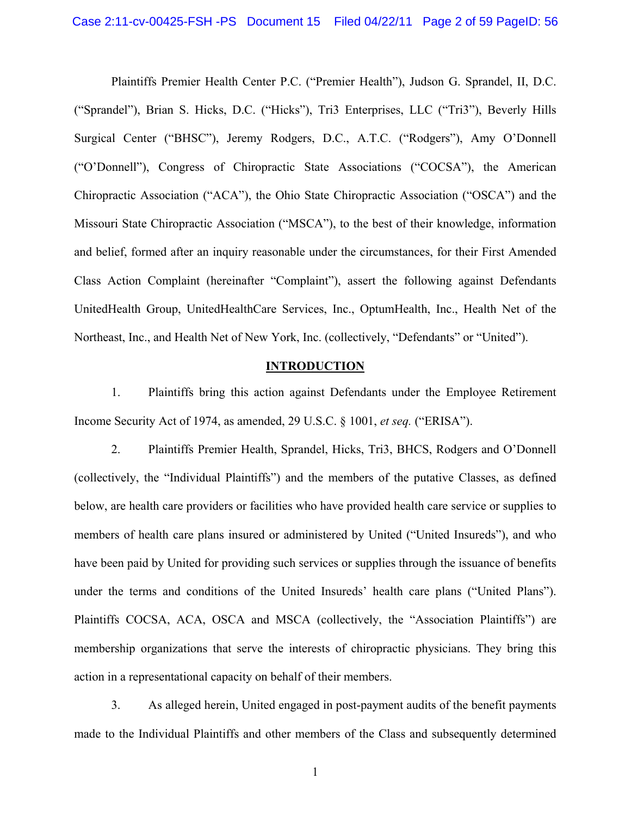Plaintiffs Premier Health Center P.C. ("Premier Health"), Judson G. Sprandel, II, D.C. ("Sprandel"), Brian S. Hicks, D.C. ("Hicks"), Tri3 Enterprises, LLC ("Tri3"), Beverly Hills Surgical Center ("BHSC"), Jeremy Rodgers, D.C., A.T.C. ("Rodgers"), Amy O'Donnell ("O'Donnell"), Congress of Chiropractic State Associations ("COCSA"), the American Chiropractic Association ("ACA"), the Ohio State Chiropractic Association ("OSCA") and the Missouri State Chiropractic Association ("MSCA"), to the best of their knowledge, information and belief, formed after an inquiry reasonable under the circumstances, for their First Amended Class Action Complaint (hereinafter "Complaint"), assert the following against Defendants UnitedHealth Group, UnitedHealthCare Services, Inc., OptumHealth, Inc., Health Net of the Northeast, Inc., and Health Net of New York, Inc. (collectively, "Defendants" or "United").

## **INTRODUCTION**

1. Plaintiffs bring this action against Defendants under the Employee Retirement Income Security Act of 1974, as amended, 29 U.S.C. § 1001, *et seq.* ("ERISA").

2. Plaintiffs Premier Health, Sprandel, Hicks, Tri3, BHCS, Rodgers and O'Donnell (collectively, the "Individual Plaintiffs") and the members of the putative Classes, as defined below, are health care providers or facilities who have provided health care service or supplies to members of health care plans insured or administered by United ("United Insureds"), and who have been paid by United for providing such services or supplies through the issuance of benefits under the terms and conditions of the United Insureds' health care plans ("United Plans"). Plaintiffs COCSA, ACA, OSCA and MSCA (collectively, the "Association Plaintiffs") are membership organizations that serve the interests of chiropractic physicians. They bring this action in a representational capacity on behalf of their members.

3. As alleged herein, United engaged in post-payment audits of the benefit payments made to the Individual Plaintiffs and other members of the Class and subsequently determined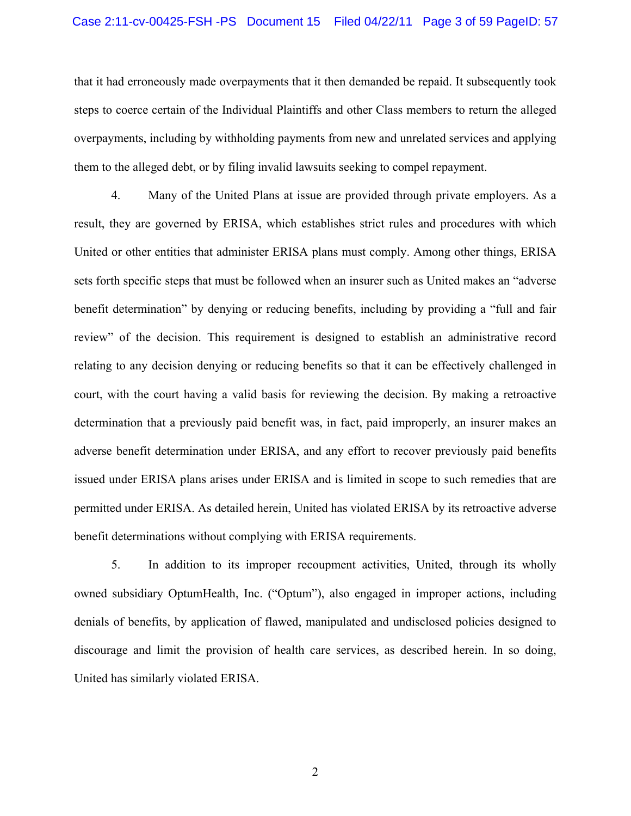#### Case 2:11-cv-00425-FSH -PS Document 15 Filed 04/22/11 Page 3 of 59 PageID: 57

that it had erroneously made overpayments that it then demanded be repaid. It subsequently took steps to coerce certain of the Individual Plaintiffs and other Class members to return the alleged overpayments, including by withholding payments from new and unrelated services and applying them to the alleged debt, or by filing invalid lawsuits seeking to compel repayment.

4. Many of the United Plans at issue are provided through private employers. As a result, they are governed by ERISA, which establishes strict rules and procedures with which United or other entities that administer ERISA plans must comply. Among other things, ERISA sets forth specific steps that must be followed when an insurer such as United makes an "adverse benefit determination" by denying or reducing benefits, including by providing a "full and fair review" of the decision. This requirement is designed to establish an administrative record relating to any decision denying or reducing benefits so that it can be effectively challenged in court, with the court having a valid basis for reviewing the decision. By making a retroactive determination that a previously paid benefit was, in fact, paid improperly, an insurer makes an adverse benefit determination under ERISA, and any effort to recover previously paid benefits issued under ERISA plans arises under ERISA and is limited in scope to such remedies that are permitted under ERISA. As detailed herein, United has violated ERISA by its retroactive adverse benefit determinations without complying with ERISA requirements.

5. In addition to its improper recoupment activities, United, through its wholly owned subsidiary OptumHealth, Inc. ("Optum"), also engaged in improper actions, including denials of benefits, by application of flawed, manipulated and undisclosed policies designed to discourage and limit the provision of health care services, as described herein. In so doing, United has similarly violated ERISA.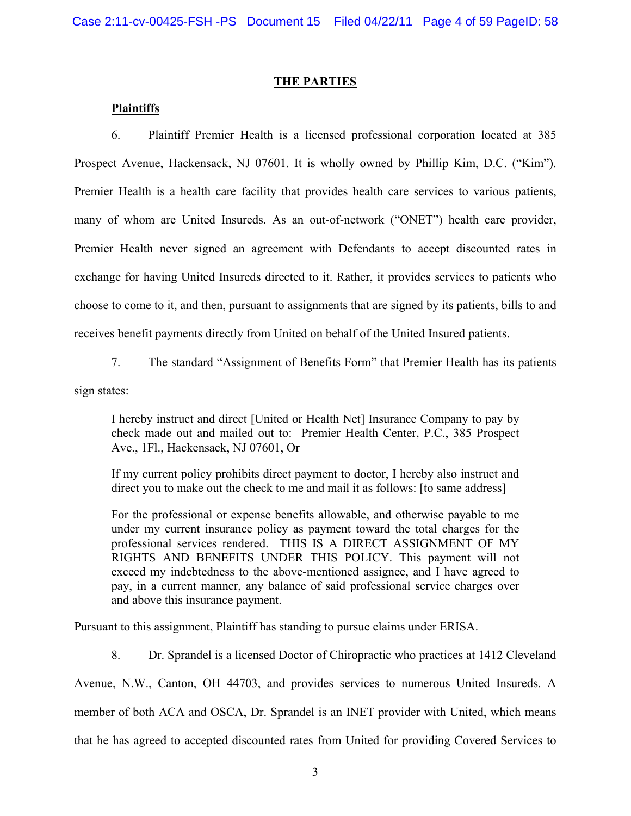## **THE PARTIES**

## **Plaintiffs**

6. Plaintiff Premier Health is a licensed professional corporation located at 385 Prospect Avenue, Hackensack, NJ 07601. It is wholly owned by Phillip Kim, D.C. ("Kim"). Premier Health is a health care facility that provides health care services to various patients, many of whom are United Insureds. As an out-of-network ("ONET") health care provider, Premier Health never signed an agreement with Defendants to accept discounted rates in exchange for having United Insureds directed to it. Rather, it provides services to patients who choose to come to it, and then, pursuant to assignments that are signed by its patients, bills to and receives benefit payments directly from United on behalf of the United Insured patients.

7. The standard "Assignment of Benefits Form" that Premier Health has its patients

sign states:

I hereby instruct and direct [United or Health Net] Insurance Company to pay by check made out and mailed out to: Premier Health Center, P.C., 385 Prospect Ave., 1Fl., Hackensack, NJ 07601, Or

If my current policy prohibits direct payment to doctor, I hereby also instruct and direct you to make out the check to me and mail it as follows: [to same address]

For the professional or expense benefits allowable, and otherwise payable to me under my current insurance policy as payment toward the total charges for the professional services rendered. THIS IS A DIRECT ASSIGNMENT OF MY RIGHTS AND BENEFITS UNDER THIS POLICY. This payment will not exceed my indebtedness to the above-mentioned assignee, and I have agreed to pay, in a current manner, any balance of said professional service charges over and above this insurance payment.

Pursuant to this assignment, Plaintiff has standing to pursue claims under ERISA.

8. Dr. Sprandel is a licensed Doctor of Chiropractic who practices at 1412 Cleveland

Avenue, N.W., Canton, OH 44703, and provides services to numerous United Insureds. A

member of both ACA and OSCA, Dr. Sprandel is an INET provider with United, which means

that he has agreed to accepted discounted rates from United for providing Covered Services to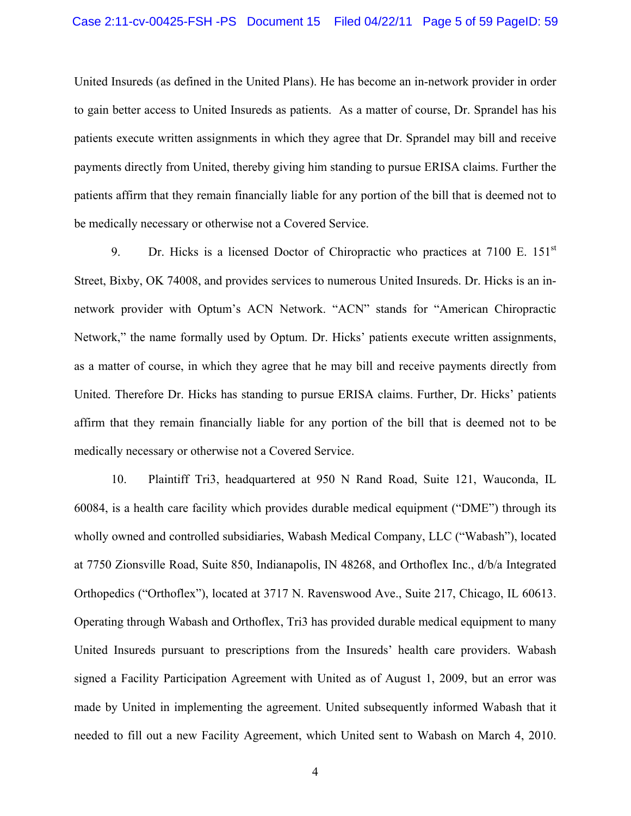United Insureds (as defined in the United Plans). He has become an in-network provider in order to gain better access to United Insureds as patients. As a matter of course, Dr. Sprandel has his patients execute written assignments in which they agree that Dr. Sprandel may bill and receive payments directly from United, thereby giving him standing to pursue ERISA claims. Further the patients affirm that they remain financially liable for any portion of the bill that is deemed not to be medically necessary or otherwise not a Covered Service.

9. Dr. Hicks is a licensed Doctor of Chiropractic who practices at  $7100 \text{ E}$ .  $151^{\text{st}}$ Street, Bixby, OK 74008, and provides services to numerous United Insureds. Dr. Hicks is an innetwork provider with Optum's ACN Network. "ACN" stands for "American Chiropractic Network," the name formally used by Optum. Dr. Hicks' patients execute written assignments, as a matter of course, in which they agree that he may bill and receive payments directly from United. Therefore Dr. Hicks has standing to pursue ERISA claims. Further, Dr. Hicks' patients affirm that they remain financially liable for any portion of the bill that is deemed not to be medically necessary or otherwise not a Covered Service.

10. Plaintiff Tri3, headquartered at 950 N Rand Road, Suite 121, Wauconda, IL 60084, is a health care facility which provides durable medical equipment ("DME") through its wholly owned and controlled subsidiaries, Wabash Medical Company, LLC ("Wabash"), located at 7750 Zionsville Road, Suite 850, Indianapolis, IN 48268, and Orthoflex Inc., d/b/a Integrated Orthopedics ("Orthoflex"), located at 3717 N. Ravenswood Ave., Suite 217, Chicago, IL 60613. Operating through Wabash and Orthoflex, Tri3 has provided durable medical equipment to many United Insureds pursuant to prescriptions from the Insureds' health care providers. Wabash signed a Facility Participation Agreement with United as of August 1, 2009, but an error was made by United in implementing the agreement. United subsequently informed Wabash that it needed to fill out a new Facility Agreement, which United sent to Wabash on March 4, 2010.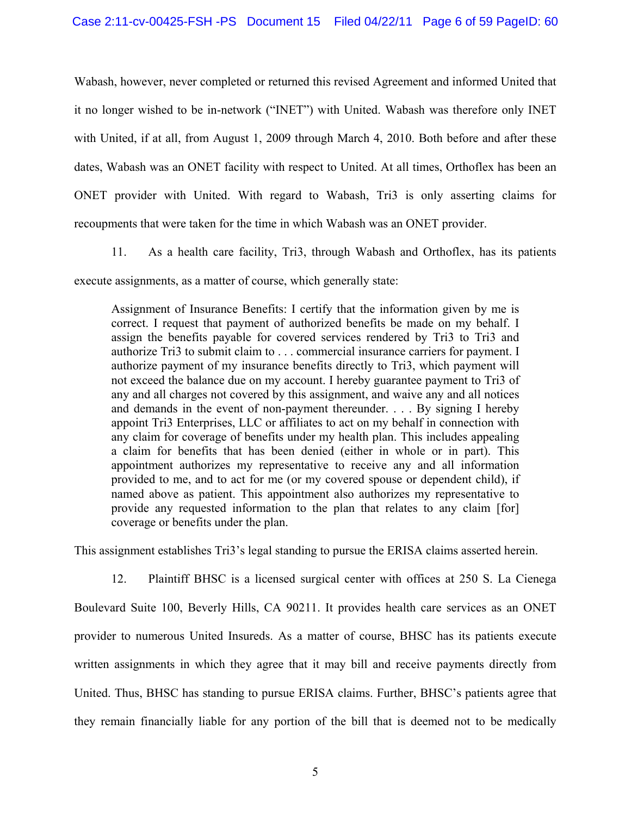Wabash, however, never completed or returned this revised Agreement and informed United that it no longer wished to be in-network ("INET") with United. Wabash was therefore only INET with United, if at all, from August 1, 2009 through March 4, 2010. Both before and after these dates, Wabash was an ONET facility with respect to United. At all times, Orthoflex has been an ONET provider with United. With regard to Wabash, Tri3 is only asserting claims for recoupments that were taken for the time in which Wabash was an ONET provider.

11. As a health care facility, Tri3, through Wabash and Orthoflex, has its patients execute assignments, as a matter of course, which generally state:

Assignment of Insurance Benefits: I certify that the information given by me is correct. I request that payment of authorized benefits be made on my behalf. I assign the benefits payable for covered services rendered by Tri3 to Tri3 and authorize Tri3 to submit claim to . . . commercial insurance carriers for payment. I authorize payment of my insurance benefits directly to Tri3, which payment will not exceed the balance due on my account. I hereby guarantee payment to Tri3 of any and all charges not covered by this assignment, and waive any and all notices and demands in the event of non-payment thereunder. . . . By signing I hereby appoint Tri3 Enterprises, LLC or affiliates to act on my behalf in connection with any claim for coverage of benefits under my health plan. This includes appealing a claim for benefits that has been denied (either in whole or in part). This appointment authorizes my representative to receive any and all information provided to me, and to act for me (or my covered spouse or dependent child), if named above as patient. This appointment also authorizes my representative to provide any requested information to the plan that relates to any claim [for] coverage or benefits under the plan.

This assignment establishes Tri3's legal standing to pursue the ERISA claims asserted herein.

12. Plaintiff BHSC is a licensed surgical center with offices at 250 S. La Cienega Boulevard Suite 100, Beverly Hills, CA 90211. It provides health care services as an ONET provider to numerous United Insureds. As a matter of course, BHSC has its patients execute written assignments in which they agree that it may bill and receive payments directly from United. Thus, BHSC has standing to pursue ERISA claims. Further, BHSC's patients agree that they remain financially liable for any portion of the bill that is deemed not to be medically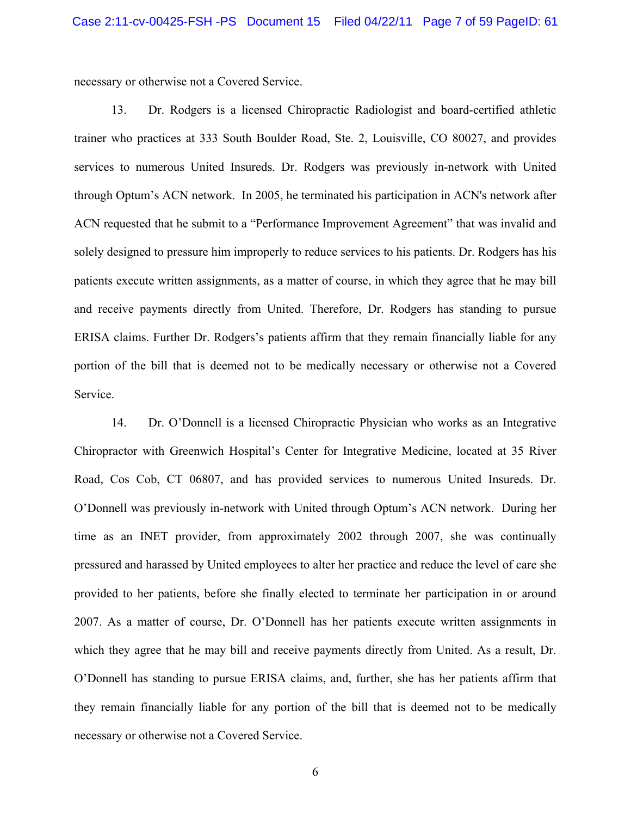necessary or otherwise not a Covered Service.

13. Dr. Rodgers is a licensed Chiropractic Radiologist and board-certified athletic trainer who practices at 333 South Boulder Road, Ste. 2, Louisville, CO 80027, and provides services to numerous United Insureds. Dr. Rodgers was previously in-network with United through Optum's ACN network. In 2005, he terminated his participation in ACN's network after ACN requested that he submit to a "Performance Improvement Agreement" that was invalid and solely designed to pressure him improperly to reduce services to his patients. Dr. Rodgers has his patients execute written assignments, as a matter of course, in which they agree that he may bill and receive payments directly from United. Therefore, Dr. Rodgers has standing to pursue ERISA claims. Further Dr. Rodgers's patients affirm that they remain financially liable for any portion of the bill that is deemed not to be medically necessary or otherwise not a Covered Service.

14. Dr. O'Donnell is a licensed Chiropractic Physician who works as an Integrative Chiropractor with Greenwich Hospital's Center for Integrative Medicine, located at 35 River Road, Cos Cob, CT 06807, and has provided services to numerous United Insureds. Dr. O'Donnell was previously in-network with United through Optum's ACN network. During her time as an INET provider, from approximately 2002 through 2007, she was continually pressured and harassed by United employees to alter her practice and reduce the level of care she provided to her patients, before she finally elected to terminate her participation in or around 2007. As a matter of course, Dr. O'Donnell has her patients execute written assignments in which they agree that he may bill and receive payments directly from United. As a result, Dr. O'Donnell has standing to pursue ERISA claims, and, further, she has her patients affirm that they remain financially liable for any portion of the bill that is deemed not to be medically necessary or otherwise not a Covered Service.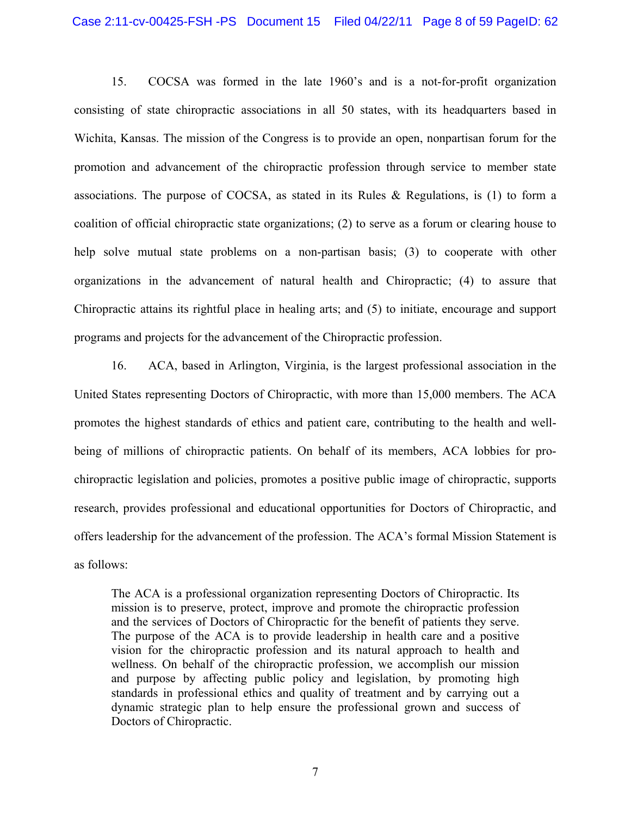15. COCSA was formed in the late 1960's and is a not-for-profit organization consisting of state chiropractic associations in all 50 states, with its headquarters based in Wichita, Kansas. The mission of the Congress is to provide an open, nonpartisan forum for the promotion and advancement of the chiropractic profession through service to member state associations. The purpose of COCSA, as stated in its Rules & Regulations, is (1) to form a coalition of official chiropractic state organizations; (2) to serve as a forum or clearing house to help solve mutual state problems on a non-partisan basis; (3) to cooperate with other organizations in the advancement of natural health and Chiropractic; (4) to assure that Chiropractic attains its rightful place in healing arts; and (5) to initiate, encourage and support programs and projects for the advancement of the Chiropractic profession.

16. ACA, based in Arlington, Virginia, is the largest professional association in the United States representing Doctors of Chiropractic, with more than 15,000 members. The ACA promotes the highest standards of ethics and patient care, contributing to the health and wellbeing of millions of chiropractic patients. On behalf of its members, ACA lobbies for prochiropractic legislation and policies, promotes a positive public image of chiropractic, supports research, provides professional and educational opportunities for Doctors of Chiropractic, and offers leadership for the advancement of the profession. The ACA's formal Mission Statement is as follows:

The ACA is a professional organization representing Doctors of Chiropractic. Its mission is to preserve, protect, improve and promote the chiropractic profession and the services of Doctors of Chiropractic for the benefit of patients they serve. The purpose of the ACA is to provide leadership in health care and a positive vision for the chiropractic profession and its natural approach to health and wellness. On behalf of the chiropractic profession, we accomplish our mission and purpose by affecting public policy and legislation, by promoting high standards in professional ethics and quality of treatment and by carrying out a dynamic strategic plan to help ensure the professional grown and success of Doctors of Chiropractic.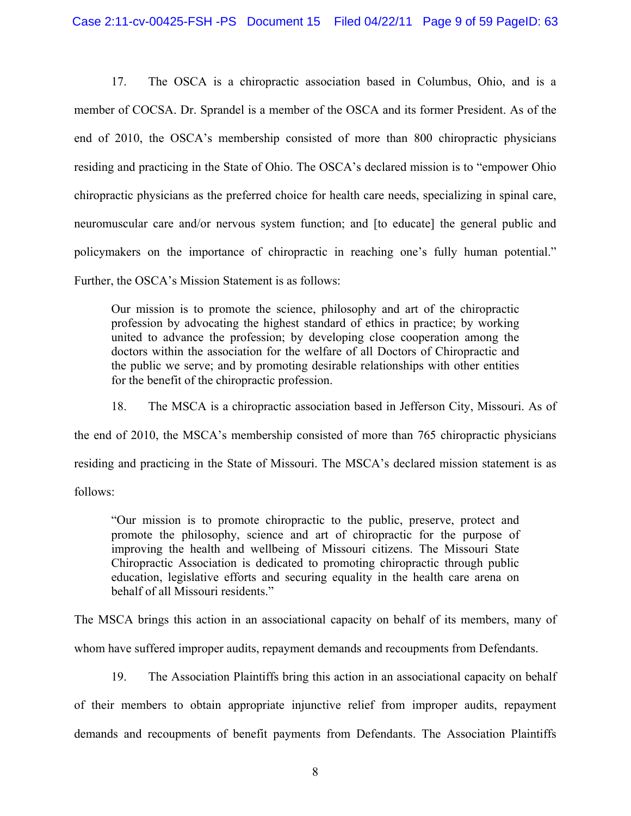17. The OSCA is a chiropractic association based in Columbus, Ohio, and is a member of COCSA. Dr. Sprandel is a member of the OSCA and its former President. As of the end of 2010, the OSCA's membership consisted of more than 800 chiropractic physicians residing and practicing in the State of Ohio. The OSCA's declared mission is to "empower Ohio chiropractic physicians as the preferred choice for health care needs, specializing in spinal care, neuromuscular care and/or nervous system function; and [to educate] the general public and policymakers on the importance of chiropractic in reaching one's fully human potential." Further, the OSCA's Mission Statement is as follows:

Our mission is to promote the science, philosophy and art of the chiropractic profession by advocating the highest standard of ethics in practice; by working united to advance the profession; by developing close cooperation among the doctors within the association for the welfare of all Doctors of Chiropractic and the public we serve; and by promoting desirable relationships with other entities for the benefit of the chiropractic profession.

18. The MSCA is a chiropractic association based in Jefferson City, Missouri. As of the end of 2010, the MSCA's membership consisted of more than 765 chiropractic physicians residing and practicing in the State of Missouri. The MSCA's declared mission statement is as follows:

"Our mission is to promote chiropractic to the public, preserve, protect and promote the philosophy, science and art of chiropractic for the purpose of improving the health and wellbeing of Missouri citizens. The Missouri State Chiropractic Association is dedicated to promoting chiropractic through public education, legislative efforts and securing equality in the health care arena on behalf of all Missouri residents."

The MSCA brings this action in an associational capacity on behalf of its members, many of whom have suffered improper audits, repayment demands and recoupments from Defendants.

19. The Association Plaintiffs bring this action in an associational capacity on behalf of their members to obtain appropriate injunctive relief from improper audits, repayment demands and recoupments of benefit payments from Defendants. The Association Plaintiffs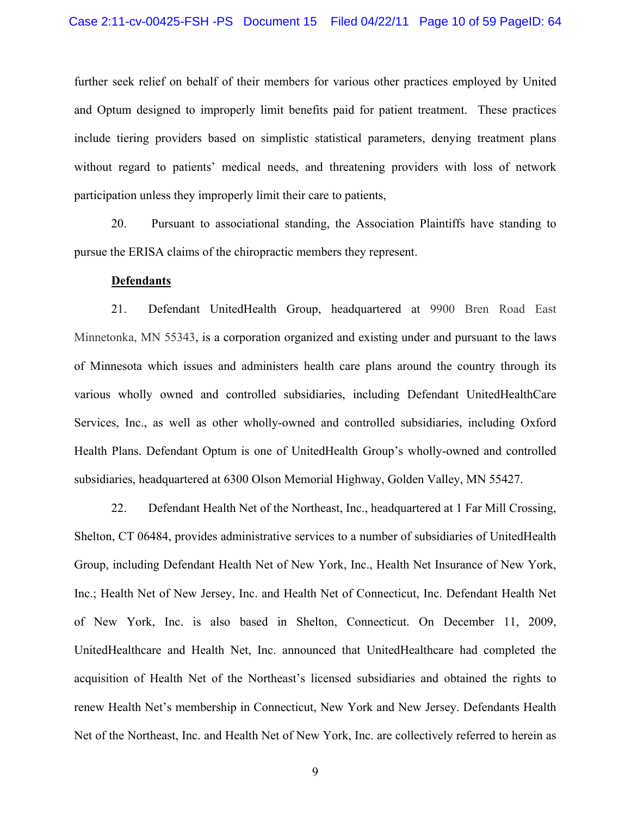further seek relief on behalf of their members for various other practices employed by United and Optum designed to improperly limit benefits paid for patient treatment. These practices include tiering providers based on simplistic statistical parameters, denying treatment plans without regard to patients' medical needs, and threatening providers with loss of network participation unless they improperly limit their care to patients,

20. Pursuant to associational standing, the Association Plaintiffs have standing to pursue the ERISA claims of the chiropractic members they represent.

#### **Defendants**

21. Defendant UnitedHealth Group, headquartered at 9900 Bren Road East Minnetonka, MN 55343, is a corporation organized and existing under and pursuant to the laws of Minnesota which issues and administers health care plans around the country through its various wholly owned and controlled subsidiaries, including Defendant UnitedHealthCare Services, Inc., as well as other wholly-owned and controlled subsidiaries, including Oxford Health Plans. Defendant Optum is one of UnitedHealth Group's wholly-owned and controlled subsidiaries, headquartered at 6300 Olson Memorial Highway, Golden Valley, MN 55427.

22. Defendant Health Net of the Northeast, Inc., headquartered at 1 Far Mill Crossing, Shelton, CT 06484, provides administrative services to a number of subsidiaries of UnitedHealth Group, including Defendant Health Net of New York, Inc., Health Net Insurance of New York, Inc.; Health Net of New Jersey, Inc. and Health Net of Connecticut, Inc. Defendant Health Net of New York, Inc. is also based in Shelton, Connecticut. On December 11, 2009, UnitedHealthcare and Health Net, Inc. announced that UnitedHealthcare had completed the acquisition of Health Net of the Northeast's licensed subsidiaries and obtained the rights to renew Health Net's membership in Connecticut, New York and New Jersey. Defendants Health Net of the Northeast, Inc. and Health Net of New York, Inc. are collectively referred to herein as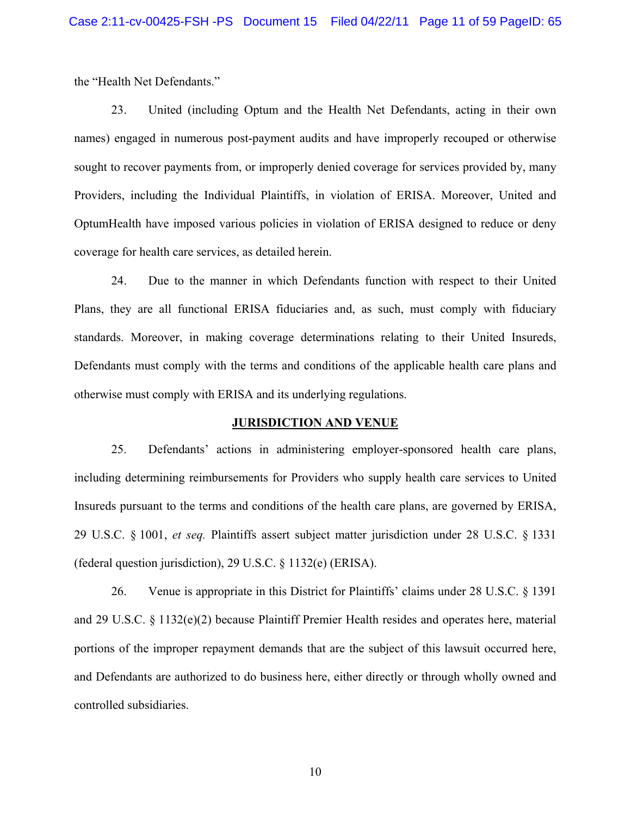the "Health Net Defendants."

23. United (including Optum and the Health Net Defendants, acting in their own names) engaged in numerous post-payment audits and have improperly recouped or otherwise sought to recover payments from, or improperly denied coverage for services provided by, many Providers, including the Individual Plaintiffs, in violation of ERISA. Moreover, United and OptumHealth have imposed various policies in violation of ERISA designed to reduce or deny coverage for health care services, as detailed herein.

24. Due to the manner in which Defendants function with respect to their United Plans, they are all functional ERISA fiduciaries and, as such, must comply with fiduciary standards. Moreover, in making coverage determinations relating to their United Insureds, Defendants must comply with the terms and conditions of the applicable health care plans and otherwise must comply with ERISA and its underlying regulations.

#### **JURISDICTION AND VENUE**

25. Defendants' actions in administering employer-sponsored health care plans, including determining reimbursements for Providers who supply health care services to United Insureds pursuant to the terms and conditions of the health care plans, are governed by ERISA, 29 U.S.C. § 1001, *et seq.* Plaintiffs assert subject matter jurisdiction under 28 U.S.C. § 1331 (federal question jurisdiction), 29 U.S.C. § 1132(e) (ERISA).

26. Venue is appropriate in this District for Plaintiffs' claims under 28 U.S.C. § 1391 and 29 U.S.C. § 1132(e)(2) because Plaintiff Premier Health resides and operates here, material portions of the improper repayment demands that are the subject of this lawsuit occurred here, and Defendants are authorized to do business here, either directly or through wholly owned and controlled subsidiaries.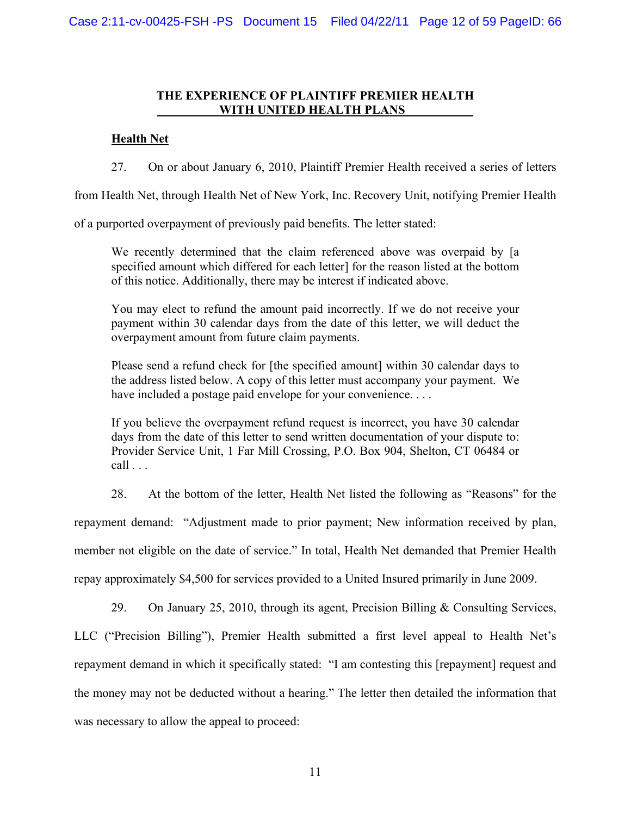## **THE EXPERIENCE OF PLAINTIFF PREMIER HEALTH WITH UNITED HEALTH PLANS**

# **Health Net**

27. On or about January 6, 2010, Plaintiff Premier Health received a series of letters

from Health Net, through Health Net of New York, Inc. Recovery Unit, notifying Premier Health

of a purported overpayment of previously paid benefits. The letter stated:

We recently determined that the claim referenced above was overpaid by [a specified amount which differed for each letter] for the reason listed at the bottom of this notice. Additionally, there may be interest if indicated above.

You may elect to refund the amount paid incorrectly. If we do not receive your payment within 30 calendar days from the date of this letter, we will deduct the overpayment amount from future claim payments.

Please send a refund check for [the specified amount] within 30 calendar days to the address listed below. A copy of this letter must accompany your payment. We have included a postage paid envelope for your convenience....

If you believe the overpayment refund request is incorrect, you have 30 calendar days from the date of this letter to send written documentation of your dispute to: Provider Service Unit, 1 Far Mill Crossing, P.O. Box 904, Shelton, CT 06484 or  $call \dots$ 

28. At the bottom of the letter, Health Net listed the following as "Reasons" for the

repayment demand: "Adjustment made to prior payment; New information received by plan,

member not eligible on the date of service." In total, Health Net demanded that Premier Health

repay approximately \$4,500 for services provided to a United Insured primarily in June 2009.

29. On January 25, 2010, through its agent, Precision Billing & Consulting Services,

LLC ("Precision Billing"), Premier Health submitted a first level appeal to Health Net's repayment demand in which it specifically stated: "I am contesting this [repayment] request and the money may not be deducted without a hearing." The letter then detailed the information that was necessary to allow the appeal to proceed: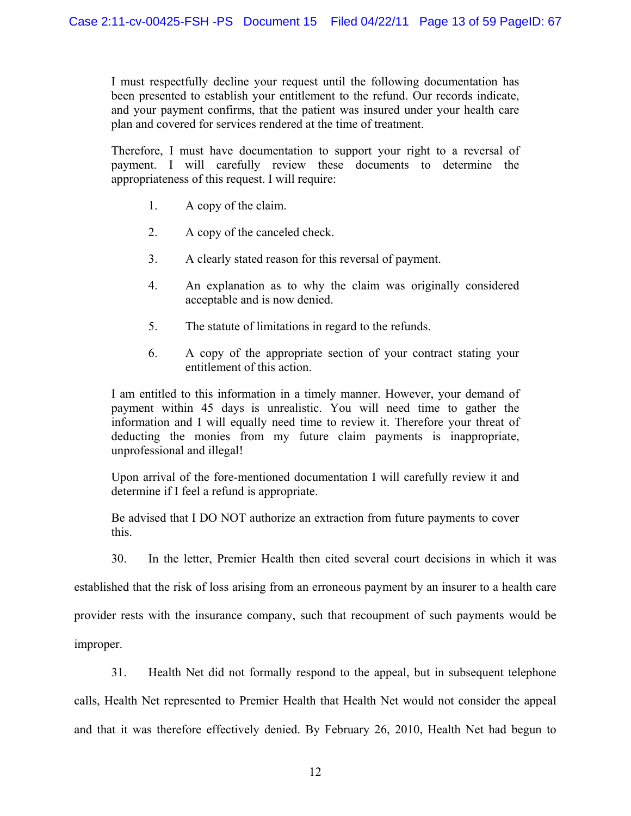I must respectfully decline your request until the following documentation has been presented to establish your entitlement to the refund. Our records indicate, and your payment confirms, that the patient was insured under your health care plan and covered for services rendered at the time of treatment.

Therefore, I must have documentation to support your right to a reversal of payment. I will carefully review these documents to determine the appropriateness of this request. I will require:

- 1. A copy of the claim.
- 2. A copy of the canceled check.
- 3. A clearly stated reason for this reversal of payment.
- 4. An explanation as to why the claim was originally considered acceptable and is now denied.
- 5. The statute of limitations in regard to the refunds.
- 6. A copy of the appropriate section of your contract stating your entitlement of this action.

I am entitled to this information in a timely manner. However, your demand of payment within 45 days is unrealistic. You will need time to gather the information and I will equally need time to review it. Therefore your threat of deducting the monies from my future claim payments is inappropriate, unprofessional and illegal!

Upon arrival of the fore-mentioned documentation I will carefully review it and determine if I feel a refund is appropriate.

Be advised that I DO NOT authorize an extraction from future payments to cover this.

30. In the letter, Premier Health then cited several court decisions in which it was

established that the risk of loss arising from an erroneous payment by an insurer to a health care

provider rests with the insurance company, such that recoupment of such payments would be

improper.

31. Health Net did not formally respond to the appeal, but in subsequent telephone

calls, Health Net represented to Premier Health that Health Net would not consider the appeal

and that it was therefore effectively denied. By February 26, 2010, Health Net had begun to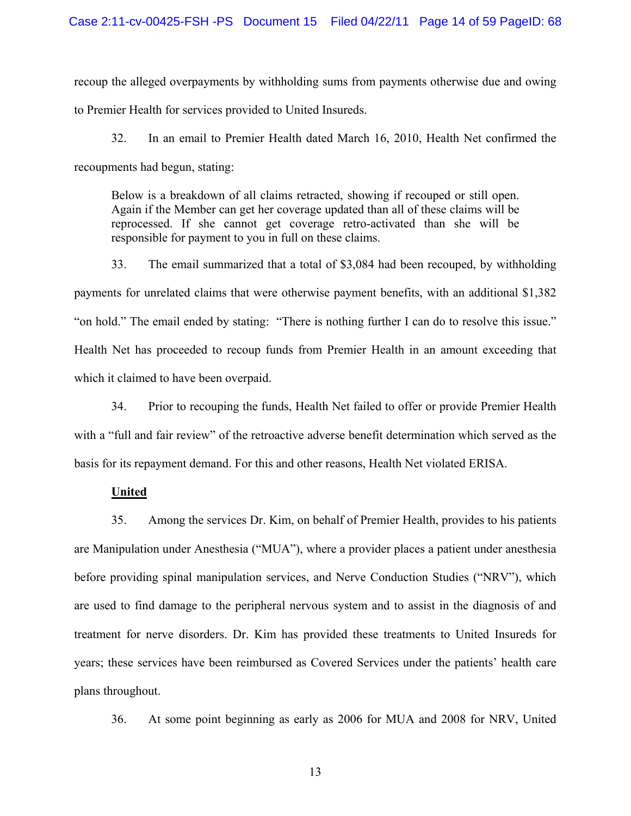recoup the alleged overpayments by withholding sums from payments otherwise due and owing to Premier Health for services provided to United Insureds.

32. In an email to Premier Health dated March 16, 2010, Health Net confirmed the recoupments had begun, stating:

Below is a breakdown of all claims retracted, showing if recouped or still open. Again if the Member can get her coverage updated than all of these claims will be reprocessed. If she cannot get coverage retro-activated than she will be responsible for payment to you in full on these claims.

33. The email summarized that a total of \$3,084 had been recouped, by withholding payments for unrelated claims that were otherwise payment benefits, with an additional \$1,382 "on hold." The email ended by stating: "There is nothing further I can do to resolve this issue." Health Net has proceeded to recoup funds from Premier Health in an amount exceeding that which it claimed to have been overpaid.

34. Prior to recouping the funds, Health Net failed to offer or provide Premier Health with a "full and fair review" of the retroactive adverse benefit determination which served as the basis for its repayment demand. For this and other reasons, Health Net violated ERISA.

### **United**

35. Among the services Dr. Kim, on behalf of Premier Health, provides to his patients are Manipulation under Anesthesia ("MUA"), where a provider places a patient under anesthesia before providing spinal manipulation services, and Nerve Conduction Studies ("NRV"), which are used to find damage to the peripheral nervous system and to assist in the diagnosis of and treatment for nerve disorders. Dr. Kim has provided these treatments to United Insureds for years; these services have been reimbursed as Covered Services under the patients' health care plans throughout.

36. At some point beginning as early as 2006 for MUA and 2008 for NRV, United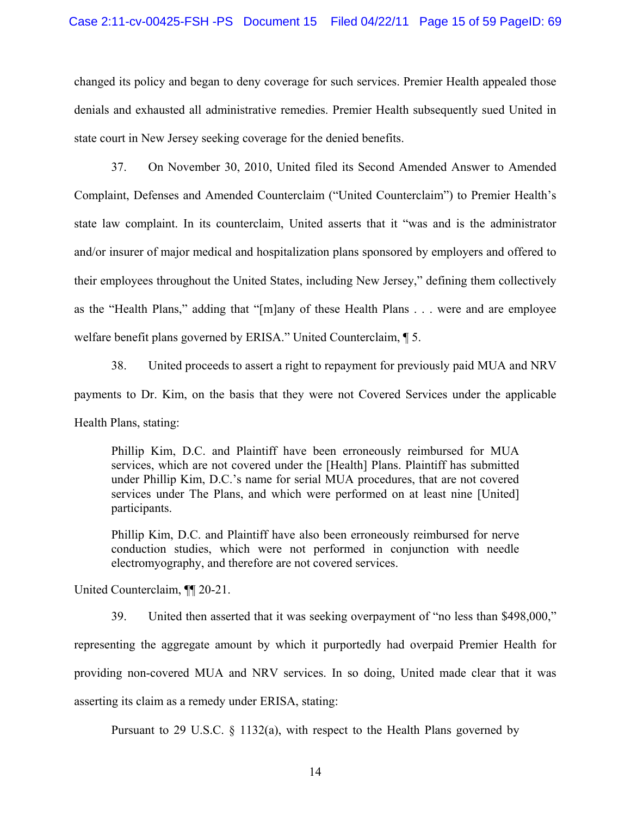changed its policy and began to deny coverage for such services. Premier Health appealed those denials and exhausted all administrative remedies. Premier Health subsequently sued United in state court in New Jersey seeking coverage for the denied benefits.

37. On November 30, 2010, United filed its Second Amended Answer to Amended Complaint, Defenses and Amended Counterclaim ("United Counterclaim") to Premier Health's state law complaint. In its counterclaim, United asserts that it "was and is the administrator and/or insurer of major medical and hospitalization plans sponsored by employers and offered to their employees throughout the United States, including New Jersey," defining them collectively as the "Health Plans," adding that "[m]any of these Health Plans . . . were and are employee welfare benefit plans governed by ERISA." United Counterclaim, ¶ 5.

38. United proceeds to assert a right to repayment for previously paid MUA and NRV payments to Dr. Kim, on the basis that they were not Covered Services under the applicable Health Plans, stating:

Phillip Kim, D.C. and Plaintiff have been erroneously reimbursed for MUA services, which are not covered under the [Health] Plans. Plaintiff has submitted under Phillip Kim, D.C.'s name for serial MUA procedures, that are not covered services under The Plans, and which were performed on at least nine [United] participants.

Phillip Kim, D.C. and Plaintiff have also been erroneously reimbursed for nerve conduction studies, which were not performed in conjunction with needle electromyography, and therefore are not covered services.

United Counterclaim, ¶¶ 20-21.

39. United then asserted that it was seeking overpayment of "no less than \$498,000," representing the aggregate amount by which it purportedly had overpaid Premier Health for providing non-covered MUA and NRV services. In so doing, United made clear that it was asserting its claim as a remedy under ERISA, stating:

Pursuant to 29 U.S.C. § 1132(a), with respect to the Health Plans governed by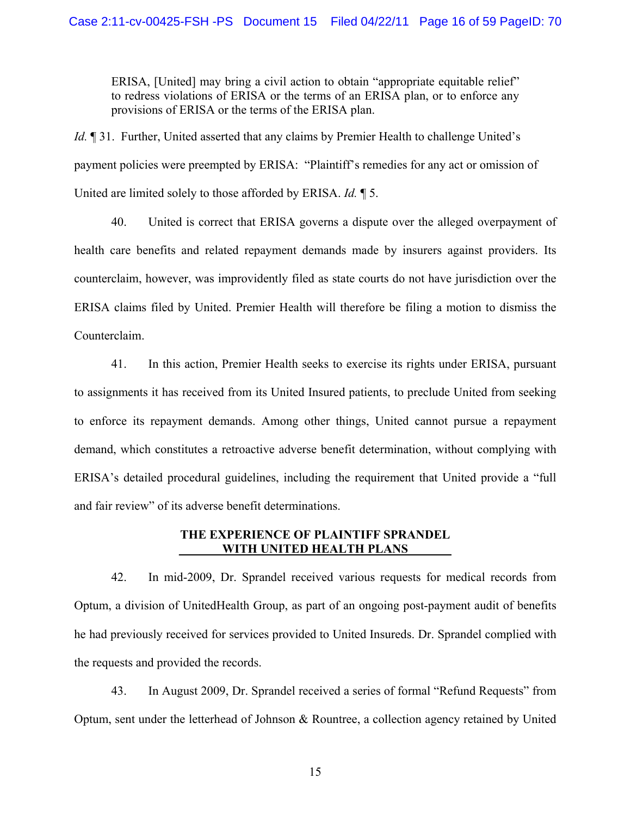ERISA, [United] may bring a civil action to obtain "appropriate equitable relief" to redress violations of ERISA or the terms of an ERISA plan, or to enforce any provisions of ERISA or the terms of the ERISA plan.

*Id.*  $\parallel$  31. Further, United asserted that any claims by Premier Health to challenge United's payment policies were preempted by ERISA: "Plaintiff's remedies for any act or omission of United are limited solely to those afforded by ERISA. *Id.* ¶ 5.

40. United is correct that ERISA governs a dispute over the alleged overpayment of health care benefits and related repayment demands made by insurers against providers. Its counterclaim, however, was improvidently filed as state courts do not have jurisdiction over the ERISA claims filed by United. Premier Health will therefore be filing a motion to dismiss the Counterclaim.

41. In this action, Premier Health seeks to exercise its rights under ERISA, pursuant to assignments it has received from its United Insured patients, to preclude United from seeking to enforce its repayment demands. Among other things, United cannot pursue a repayment demand, which constitutes a retroactive adverse benefit determination, without complying with ERISA's detailed procedural guidelines, including the requirement that United provide a "full and fair review" of its adverse benefit determinations.

# **THE EXPERIENCE OF PLAINTIFF SPRANDEL \_\_\_\_\_\_\_WITH UNITED HEALTH PLANS\_\_\_\_\_\_\_**

42. In mid-2009, Dr. Sprandel received various requests for medical records from Optum, a division of UnitedHealth Group, as part of an ongoing post-payment audit of benefits he had previously received for services provided to United Insureds. Dr. Sprandel complied with the requests and provided the records.

43. In August 2009, Dr. Sprandel received a series of formal "Refund Requests" from Optum, sent under the letterhead of Johnson & Rountree, a collection agency retained by United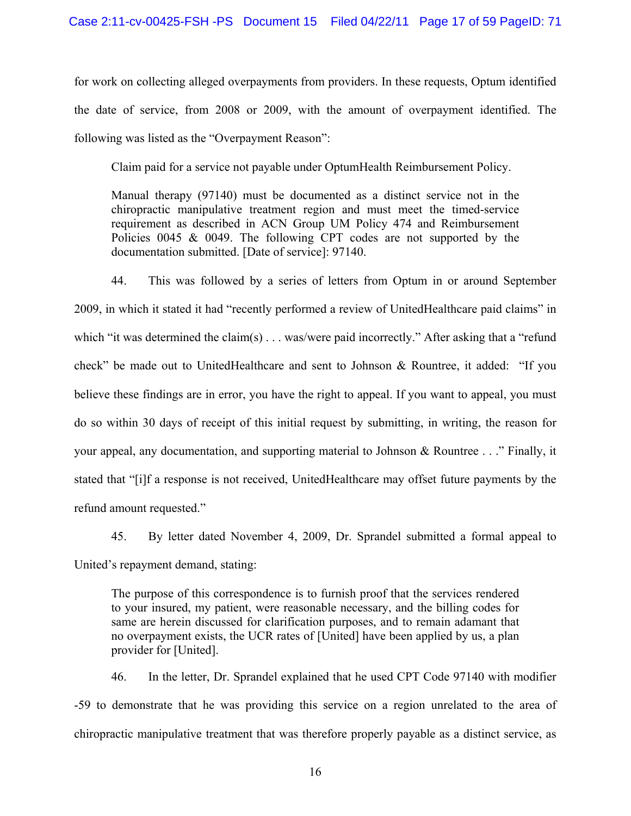for work on collecting alleged overpayments from providers. In these requests, Optum identified the date of service, from 2008 or 2009, with the amount of overpayment identified. The following was listed as the "Overpayment Reason":

Claim paid for a service not payable under OptumHealth Reimbursement Policy.

Manual therapy (97140) must be documented as a distinct service not in the chiropractic manipulative treatment region and must meet the timed-service requirement as described in ACN Group UM Policy 474 and Reimbursement Policies 0045 & 0049. The following CPT codes are not supported by the documentation submitted. [Date of service]: 97140.

44. This was followed by a series of letters from Optum in or around September 2009, in which it stated it had "recently performed a review of UnitedHealthcare paid claims" in which "it was determined the claim(s) . . . was/were paid incorrectly." After asking that a "refund check" be made out to UnitedHealthcare and sent to Johnson & Rountree, it added: "If you believe these findings are in error, you have the right to appeal. If you want to appeal, you must do so within 30 days of receipt of this initial request by submitting, in writing, the reason for your appeal, any documentation, and supporting material to Johnson & Rountree . . ." Finally, it stated that "[i]f a response is not received, UnitedHealthcare may offset future payments by the refund amount requested."

45. By letter dated November 4, 2009, Dr. Sprandel submitted a formal appeal to United's repayment demand, stating:

The purpose of this correspondence is to furnish proof that the services rendered to your insured, my patient, were reasonable necessary, and the billing codes for same are herein discussed for clarification purposes, and to remain adamant that no overpayment exists, the UCR rates of [United] have been applied by us, a plan provider for [United].

46. In the letter, Dr. Sprandel explained that he used CPT Code 97140 with modifier -59 to demonstrate that he was providing this service on a region unrelated to the area of chiropractic manipulative treatment that was therefore properly payable as a distinct service, as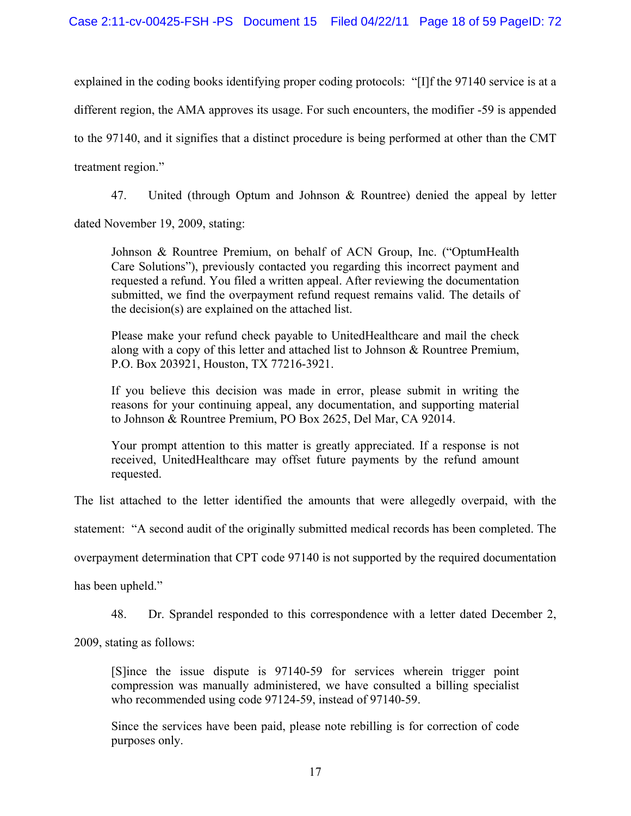# Case 2:11-cv-00425-FSH -PS Document 15 Filed 04/22/11 Page 18 of 59 PageID: 72

explained in the coding books identifying proper coding protocols: "[I]f the 97140 service is at a different region, the AMA approves its usage. For such encounters, the modifier -59 is appended to the 97140, and it signifies that a distinct procedure is being performed at other than the CMT treatment region."

47. United (through Optum and Johnson & Rountree) denied the appeal by letter

dated November 19, 2009, stating:

Johnson & Rountree Premium, on behalf of ACN Group, Inc. ("OptumHealth Care Solutions"), previously contacted you regarding this incorrect payment and requested a refund. You filed a written appeal. After reviewing the documentation submitted, we find the overpayment refund request remains valid. The details of the decision(s) are explained on the attached list.

Please make your refund check payable to UnitedHealthcare and mail the check along with a copy of this letter and attached list to Johnson & Rountree Premium, P.O. Box 203921, Houston, TX 77216-3921.

If you believe this decision was made in error, please submit in writing the reasons for your continuing appeal, any documentation, and supporting material to Johnson & Rountree Premium, PO Box 2625, Del Mar, CA 92014.

Your prompt attention to this matter is greatly appreciated. If a response is not received, UnitedHealthcare may offset future payments by the refund amount requested.

The list attached to the letter identified the amounts that were allegedly overpaid, with the

statement: "A second audit of the originally submitted medical records has been completed. The

overpayment determination that CPT code 97140 is not supported by the required documentation

has been upheld."

48. Dr. Sprandel responded to this correspondence with a letter dated December 2,

2009, stating as follows:

[S]ince the issue dispute is 97140-59 for services wherein trigger point compression was manually administered, we have consulted a billing specialist who recommended using code 97124-59, instead of 97140-59.

Since the services have been paid, please note rebilling is for correction of code purposes only.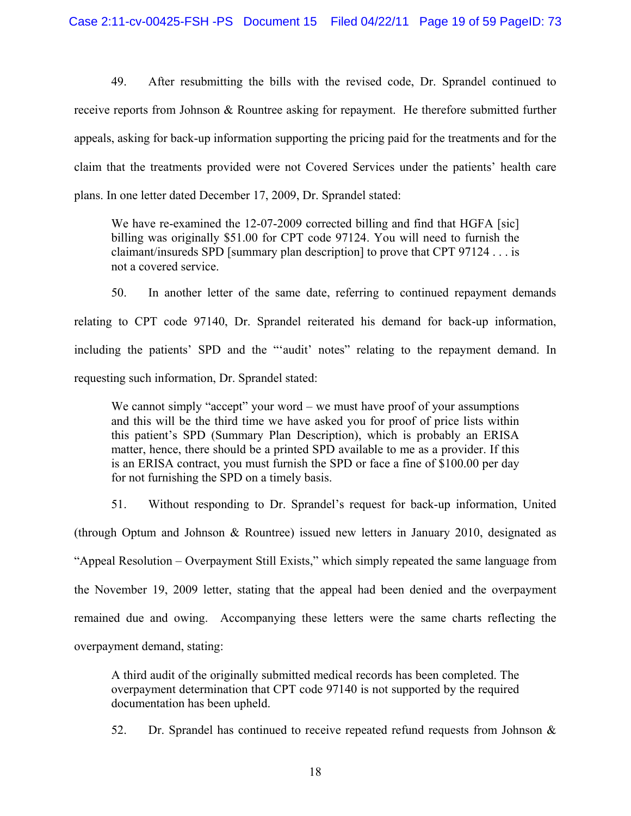49. After resubmitting the bills with the revised code, Dr. Sprandel continued to receive reports from Johnson & Rountree asking for repayment. He therefore submitted further appeals, asking for back-up information supporting the pricing paid for the treatments and for the claim that the treatments provided were not Covered Services under the patients' health care plans. In one letter dated December 17, 2009, Dr. Sprandel stated:

We have re-examined the 12-07-2009 corrected billing and find that HGFA [sic] billing was originally \$51.00 for CPT code 97124. You will need to furnish the claimant/insureds SPD [summary plan description] to prove that CPT 97124 . . . is not a covered service.

50. In another letter of the same date, referring to continued repayment demands relating to CPT code 97140, Dr. Sprandel reiterated his demand for back-up information, including the patients' SPD and the "'audit' notes" relating to the repayment demand. In requesting such information, Dr. Sprandel stated:

We cannot simply "accept" your word – we must have proof of your assumptions and this will be the third time we have asked you for proof of price lists within this patient's SPD (Summary Plan Description), which is probably an ERISA matter, hence, there should be a printed SPD available to me as a provider. If this is an ERISA contract, you must furnish the SPD or face a fine of \$100.00 per day for not furnishing the SPD on a timely basis.

51. Without responding to Dr. Sprandel's request for back-up information, United (through Optum and Johnson & Rountree) issued new letters in January 2010, designated as "Appeal Resolution – Overpayment Still Exists," which simply repeated the same language from the November 19, 2009 letter, stating that the appeal had been denied and the overpayment remained due and owing. Accompanying these letters were the same charts reflecting the overpayment demand, stating:

A third audit of the originally submitted medical records has been completed. The overpayment determination that CPT code 97140 is not supported by the required documentation has been upheld.

52. Dr. Sprandel has continued to receive repeated refund requests from Johnson &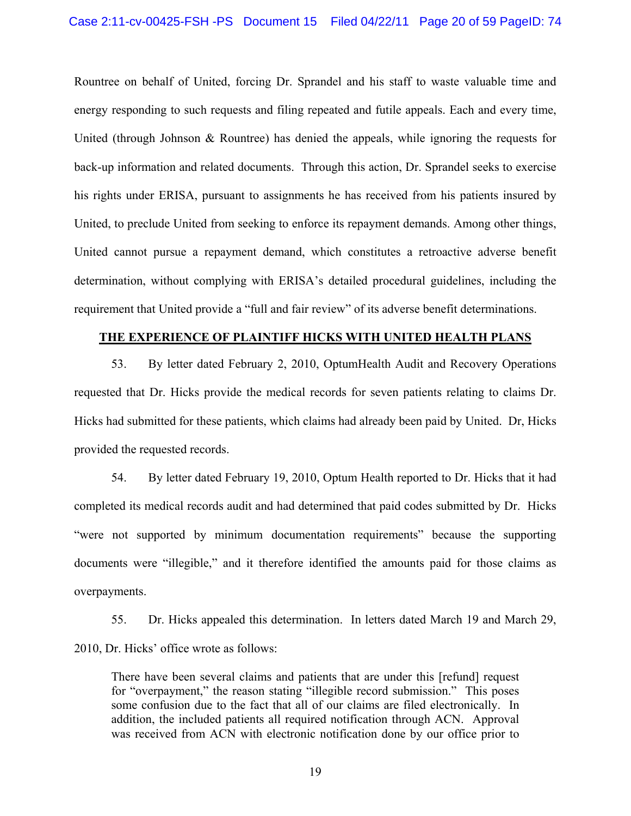Rountree on behalf of United, forcing Dr. Sprandel and his staff to waste valuable time and energy responding to such requests and filing repeated and futile appeals. Each and every time, United (through Johnson & Rountree) has denied the appeals, while ignoring the requests for back-up information and related documents. Through this action, Dr. Sprandel seeks to exercise his rights under ERISA, pursuant to assignments he has received from his patients insured by United, to preclude United from seeking to enforce its repayment demands. Among other things, United cannot pursue a repayment demand, which constitutes a retroactive adverse benefit determination, without complying with ERISA's detailed procedural guidelines, including the requirement that United provide a "full and fair review" of its adverse benefit determinations.

## **THE EXPERIENCE OF PLAINTIFF HICKS WITH UNITED HEALTH PLANS**

53. By letter dated February 2, 2010, OptumHealth Audit and Recovery Operations requested that Dr. Hicks provide the medical records for seven patients relating to claims Dr. Hicks had submitted for these patients, which claims had already been paid by United. Dr, Hicks provided the requested records.

54. By letter dated February 19, 2010, Optum Health reported to Dr. Hicks that it had completed its medical records audit and had determined that paid codes submitted by Dr. Hicks "were not supported by minimum documentation requirements" because the supporting documents were "illegible," and it therefore identified the amounts paid for those claims as overpayments.

55. Dr. Hicks appealed this determination. In letters dated March 19 and March 29, 2010, Dr. Hicks' office wrote as follows:

There have been several claims and patients that are under this [refund] request for "overpayment," the reason stating "illegible record submission." This poses some confusion due to the fact that all of our claims are filed electronically. In addition, the included patients all required notification through ACN. Approval was received from ACN with electronic notification done by our office prior to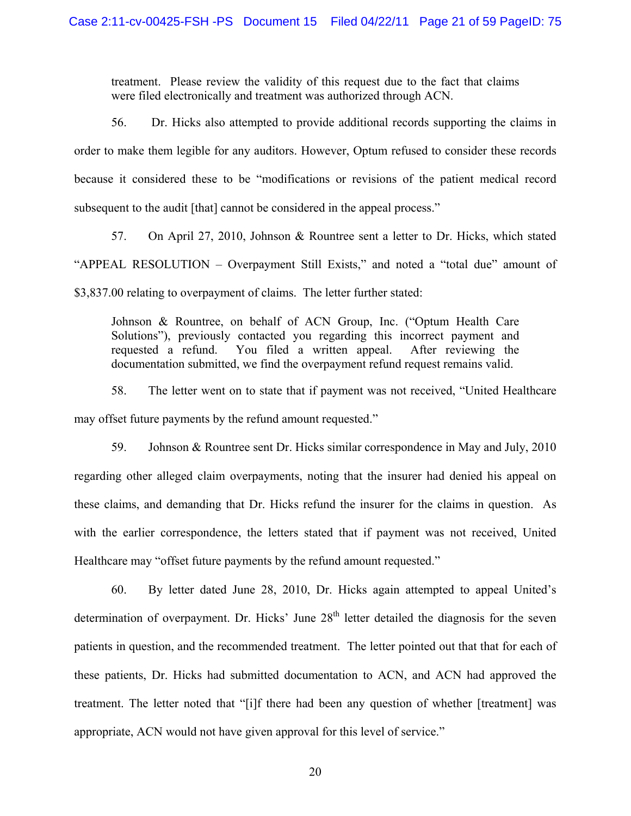treatment. Please review the validity of this request due to the fact that claims were filed electronically and treatment was authorized through ACN.

56. Dr. Hicks also attempted to provide additional records supporting the claims in order to make them legible for any auditors. However, Optum refused to consider these records because it considered these to be "modifications or revisions of the patient medical record subsequent to the audit [that] cannot be considered in the appeal process."

57. On April 27, 2010, Johnson & Rountree sent a letter to Dr. Hicks, which stated "APPEAL RESOLUTION – Overpayment Still Exists," and noted a "total due" amount of \$3,837.00 relating to overpayment of claims. The letter further stated:

Johnson & Rountree, on behalf of ACN Group, Inc. ("Optum Health Care Solutions"), previously contacted you regarding this incorrect payment and requested a refund. You filed a written appeal. After reviewing the documentation submitted, we find the overpayment refund request remains valid.

58. The letter went on to state that if payment was not received, "United Healthcare may offset future payments by the refund amount requested."

59. Johnson & Rountree sent Dr. Hicks similar correspondence in May and July, 2010 regarding other alleged claim overpayments, noting that the insurer had denied his appeal on these claims, and demanding that Dr. Hicks refund the insurer for the claims in question. As with the earlier correspondence, the letters stated that if payment was not received, United Healthcare may "offset future payments by the refund amount requested."

60. By letter dated June 28, 2010, Dr. Hicks again attempted to appeal United's determination of overpayment. Dr. Hicks' June  $28<sup>th</sup>$  letter detailed the diagnosis for the seven patients in question, and the recommended treatment. The letter pointed out that that for each of these patients, Dr. Hicks had submitted documentation to ACN, and ACN had approved the treatment. The letter noted that "[i]f there had been any question of whether [treatment] was appropriate, ACN would not have given approval for this level of service."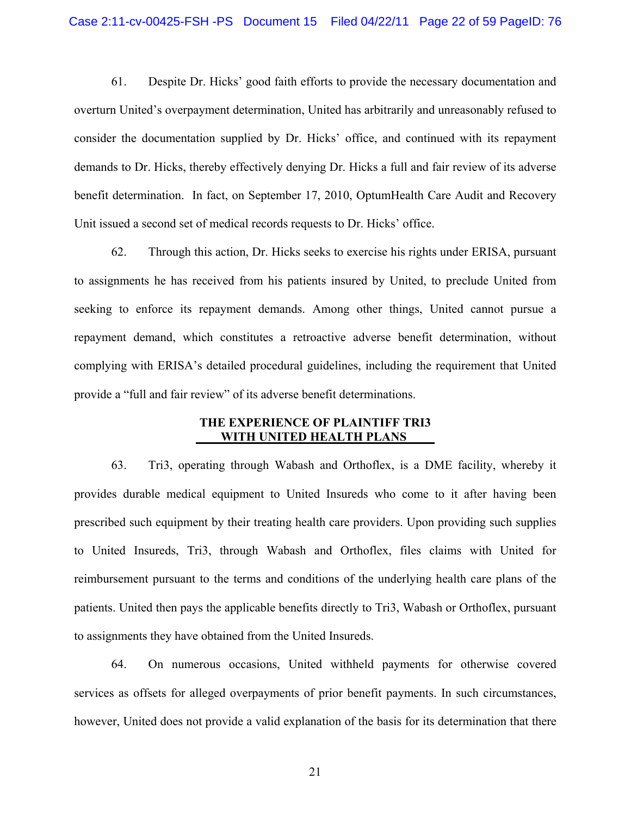61. Despite Dr. Hicks' good faith efforts to provide the necessary documentation and overturn United's overpayment determination, United has arbitrarily and unreasonably refused to consider the documentation supplied by Dr. Hicks' office, and continued with its repayment demands to Dr. Hicks, thereby effectively denying Dr. Hicks a full and fair review of its adverse benefit determination. In fact, on September 17, 2010, OptumHealth Care Audit and Recovery Unit issued a second set of medical records requests to Dr. Hicks' office.

62. Through this action, Dr. Hicks seeks to exercise his rights under ERISA, pursuant to assignments he has received from his patients insured by United, to preclude United from seeking to enforce its repayment demands. Among other things, United cannot pursue a repayment demand, which constitutes a retroactive adverse benefit determination, without complying with ERISA's detailed procedural guidelines, including the requirement that United provide a "full and fair review" of its adverse benefit determinations.

## **THE EXPERIENCE OF PLAINTIFF TRI3 WITH UNITED HEALTH PLANS**

63. Tri3, operating through Wabash and Orthoflex, is a DME facility, whereby it provides durable medical equipment to United Insureds who come to it after having been prescribed such equipment by their treating health care providers. Upon providing such supplies to United Insureds, Tri3, through Wabash and Orthoflex, files claims with United for reimbursement pursuant to the terms and conditions of the underlying health care plans of the patients. United then pays the applicable benefits directly to Tri3, Wabash or Orthoflex, pursuant to assignments they have obtained from the United Insureds.

64. On numerous occasions, United withheld payments for otherwise covered services as offsets for alleged overpayments of prior benefit payments. In such circumstances, however, United does not provide a valid explanation of the basis for its determination that there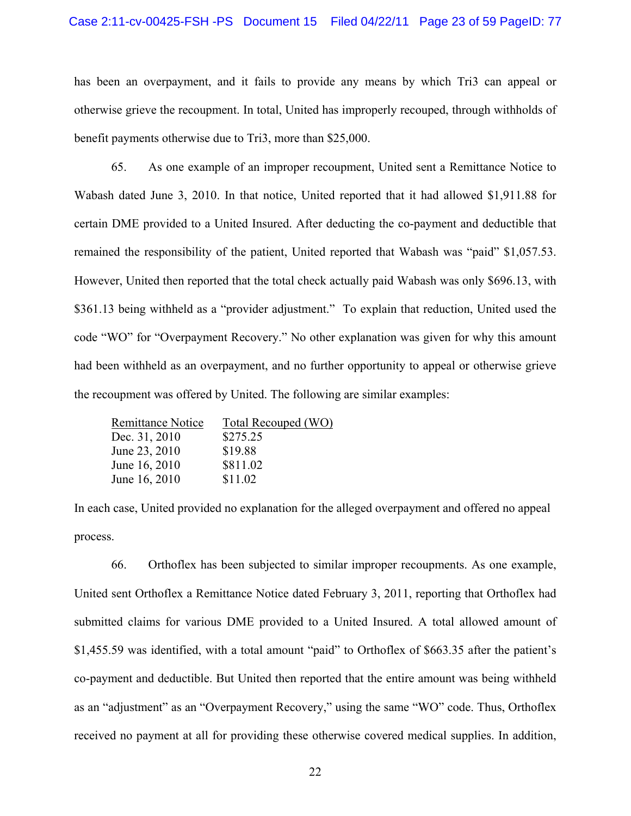### Case 2:11-cv-00425-FSH -PS Document 15 Filed 04/22/11 Page 23 of 59 PageID: 77

has been an overpayment, and it fails to provide any means by which Tri3 can appeal or otherwise grieve the recoupment. In total, United has improperly recouped, through withholds of benefit payments otherwise due to Tri3, more than \$25,000.

65. As one example of an improper recoupment, United sent a Remittance Notice to Wabash dated June 3, 2010. In that notice, United reported that it had allowed \$1,911.88 for certain DME provided to a United Insured. After deducting the co-payment and deductible that remained the responsibility of the patient, United reported that Wabash was "paid" \$1,057.53. However, United then reported that the total check actually paid Wabash was only \$696.13, with \$361.13 being withheld as a "provider adjustment." To explain that reduction, United used the code "WO" for "Overpayment Recovery." No other explanation was given for why this amount had been withheld as an overpayment, and no further opportunity to appeal or otherwise grieve the recoupment was offered by United. The following are similar examples:

| <b>Remittance Notice</b> | <b>Total Recouped (WO)</b> |
|--------------------------|----------------------------|
| Dec. 31, 2010            | \$275.25                   |
| June 23, 2010            | \$19.88                    |
| June 16, 2010            | \$811.02                   |
| June 16, 2010            | \$11.02                    |

In each case, United provided no explanation for the alleged overpayment and offered no appeal process.

66. Orthoflex has been subjected to similar improper recoupments. As one example, United sent Orthoflex a Remittance Notice dated February 3, 2011, reporting that Orthoflex had submitted claims for various DME provided to a United Insured. A total allowed amount of \$1,455.59 was identified, with a total amount "paid" to Orthoflex of \$663.35 after the patient's co-payment and deductible. But United then reported that the entire amount was being withheld as an "adjustment" as an "Overpayment Recovery," using the same "WO" code. Thus, Orthoflex received no payment at all for providing these otherwise covered medical supplies. In addition,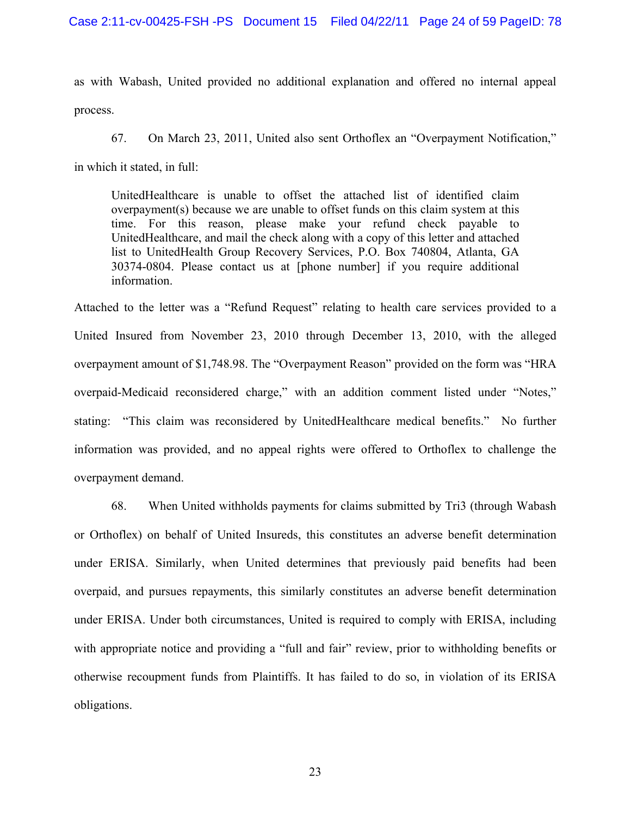### Case 2:11-cv-00425-FSH -PS Document 15 Filed 04/22/11 Page 24 of 59 PageID: 78

as with Wabash, United provided no additional explanation and offered no internal appeal process.

67. On March 23, 2011, United also sent Orthoflex an "Overpayment Notification," in which it stated, in full:

UnitedHealthcare is unable to offset the attached list of identified claim overpayment(s) because we are unable to offset funds on this claim system at this time. For this reason, please make your refund check payable to UnitedHealthcare, and mail the check along with a copy of this letter and attached list to UnitedHealth Group Recovery Services, P.O. Box 740804, Atlanta, GA 30374-0804. Please contact us at [phone number] if you require additional information.

Attached to the letter was a "Refund Request" relating to health care services provided to a United Insured from November 23, 2010 through December 13, 2010, with the alleged overpayment amount of \$1,748.98. The "Overpayment Reason" provided on the form was "HRA overpaid-Medicaid reconsidered charge," with an addition comment listed under "Notes," stating: "This claim was reconsidered by UnitedHealthcare medical benefits." No further information was provided, and no appeal rights were offered to Orthoflex to challenge the overpayment demand.

68. When United withholds payments for claims submitted by Tri3 (through Wabash or Orthoflex) on behalf of United Insureds, this constitutes an adverse benefit determination under ERISA. Similarly, when United determines that previously paid benefits had been overpaid, and pursues repayments, this similarly constitutes an adverse benefit determination under ERISA. Under both circumstances, United is required to comply with ERISA, including with appropriate notice and providing a "full and fair" review, prior to withholding benefits or otherwise recoupment funds from Plaintiffs. It has failed to do so, in violation of its ERISA obligations.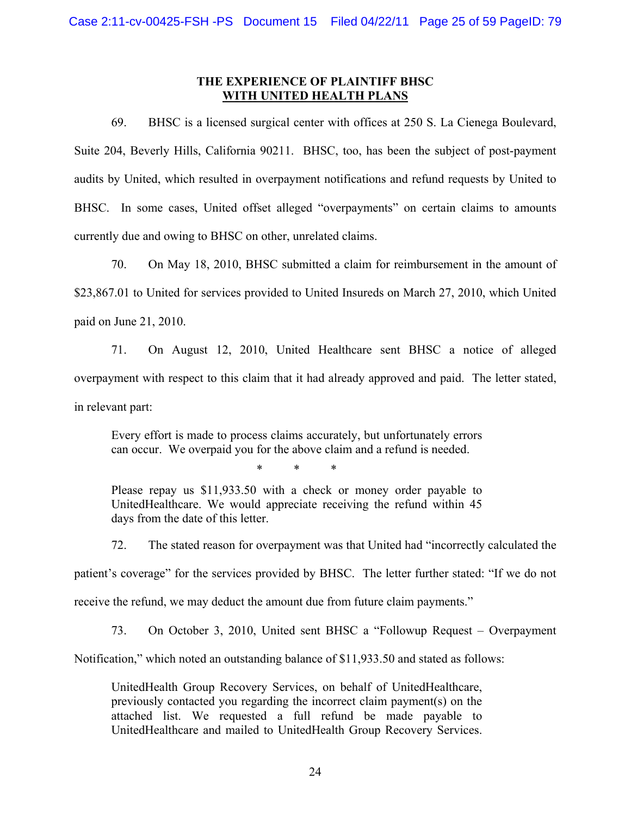## **THE EXPERIENCE OF PLAINTIFF BHSC WITH UNITED HEALTH PLANS**

69. BHSC is a licensed surgical center with offices at 250 S. La Cienega Boulevard, Suite 204, Beverly Hills, California 90211. BHSC, too, has been the subject of post-payment audits by United, which resulted in overpayment notifications and refund requests by United to BHSC. In some cases, United offset alleged "overpayments" on certain claims to amounts currently due and owing to BHSC on other, unrelated claims.

70. On May 18, 2010, BHSC submitted a claim for reimbursement in the amount of \$23,867.01 to United for services provided to United Insureds on March 27, 2010, which United paid on June 21, 2010.

71. On August 12, 2010, United Healthcare sent BHSC a notice of alleged overpayment with respect to this claim that it had already approved and paid. The letter stated, in relevant part:

Every effort is made to process claims accurately, but unfortunately errors can occur. We overpaid you for the above claim and a refund is needed.

\* \* \*

Please repay us \$11,933.50 with a check or money order payable to UnitedHealthcare. We would appreciate receiving the refund within 45 days from the date of this letter.

72. The stated reason for overpayment was that United had "incorrectly calculated the patient's coverage" for the services provided by BHSC. The letter further stated: "If we do not receive the refund, we may deduct the amount due from future claim payments."

73. On October 3, 2010, United sent BHSC a "Followup Request – Overpayment

Notification," which noted an outstanding balance of \$11,933.50 and stated as follows:

UnitedHealth Group Recovery Services, on behalf of UnitedHealthcare, previously contacted you regarding the incorrect claim payment(s) on the attached list. We requested a full refund be made payable to UnitedHealthcare and mailed to UnitedHealth Group Recovery Services.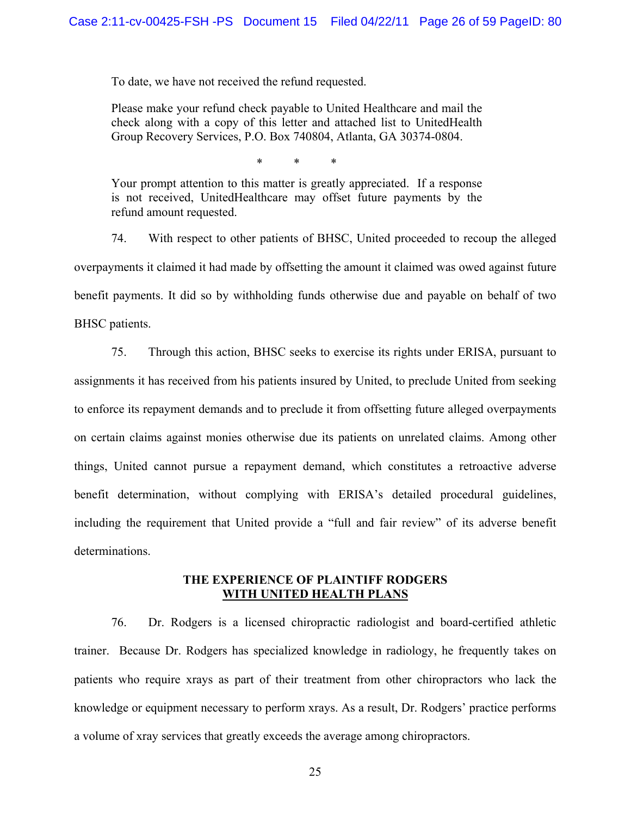To date, we have not received the refund requested.

Please make your refund check payable to United Healthcare and mail the check along with a copy of this letter and attached list to UnitedHealth Group Recovery Services, P.O. Box 740804, Atlanta, GA 30374-0804.

\* \* \*

Your prompt attention to this matter is greatly appreciated. If a response is not received, UnitedHealthcare may offset future payments by the refund amount requested.

74. With respect to other patients of BHSC, United proceeded to recoup the alleged overpayments it claimed it had made by offsetting the amount it claimed was owed against future benefit payments. It did so by withholding funds otherwise due and payable on behalf of two BHSC patients.

75. Through this action, BHSC seeks to exercise its rights under ERISA, pursuant to assignments it has received from his patients insured by United, to preclude United from seeking to enforce its repayment demands and to preclude it from offsetting future alleged overpayments on certain claims against monies otherwise due its patients on unrelated claims. Among other things, United cannot pursue a repayment demand, which constitutes a retroactive adverse benefit determination, without complying with ERISA's detailed procedural guidelines, including the requirement that United provide a "full and fair review" of its adverse benefit determinations.

### **THE EXPERIENCE OF PLAINTIFF RODGERS WITH UNITED HEALTH PLANS**

76. Dr. Rodgers is a licensed chiropractic radiologist and board-certified athletic trainer. Because Dr. Rodgers has specialized knowledge in radiology, he frequently takes on patients who require xrays as part of their treatment from other chiropractors who lack the knowledge or equipment necessary to perform xrays. As a result, Dr. Rodgers' practice performs a volume of xray services that greatly exceeds the average among chiropractors.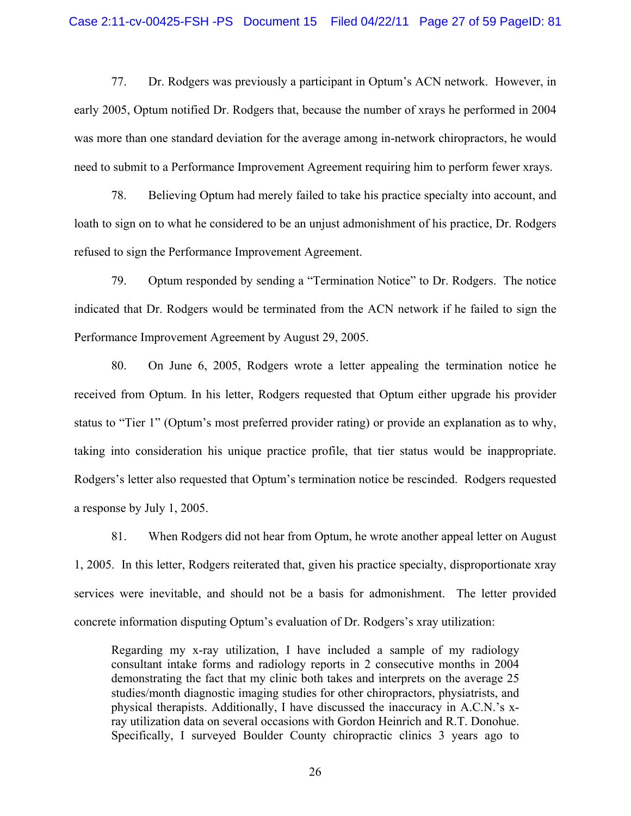#### Case 2:11-cv-00425-FSH -PS Document 15 Filed 04/22/11 Page 27 of 59 PageID: 81

77. Dr. Rodgers was previously a participant in Optum's ACN network. However, in early 2005, Optum notified Dr. Rodgers that, because the number of xrays he performed in 2004 was more than one standard deviation for the average among in-network chiropractors, he would need to submit to a Performance Improvement Agreement requiring him to perform fewer xrays.

78. Believing Optum had merely failed to take his practice specialty into account, and loath to sign on to what he considered to be an unjust admonishment of his practice, Dr. Rodgers refused to sign the Performance Improvement Agreement.

79. Optum responded by sending a "Termination Notice" to Dr. Rodgers. The notice indicated that Dr. Rodgers would be terminated from the ACN network if he failed to sign the Performance Improvement Agreement by August 29, 2005.

80. On June 6, 2005, Rodgers wrote a letter appealing the termination notice he received from Optum. In his letter, Rodgers requested that Optum either upgrade his provider status to "Tier 1" (Optum's most preferred provider rating) or provide an explanation as to why, taking into consideration his unique practice profile, that tier status would be inappropriate. Rodgers's letter also requested that Optum's termination notice be rescinded. Rodgers requested a response by July 1, 2005.

81. When Rodgers did not hear from Optum, he wrote another appeal letter on August 1, 2005. In this letter, Rodgers reiterated that, given his practice specialty, disproportionate xray services were inevitable, and should not be a basis for admonishment. The letter provided concrete information disputing Optum's evaluation of Dr. Rodgers's xray utilization:

Regarding my x-ray utilization, I have included a sample of my radiology consultant intake forms and radiology reports in 2 consecutive months in 2004 demonstrating the fact that my clinic both takes and interprets on the average 25 studies/month diagnostic imaging studies for other chiropractors, physiatrists, and physical therapists. Additionally, I have discussed the inaccuracy in A.C.N.'s xray utilization data on several occasions with Gordon Heinrich and R.T. Donohue. Specifically, I surveyed Boulder County chiropractic clinics 3 years ago to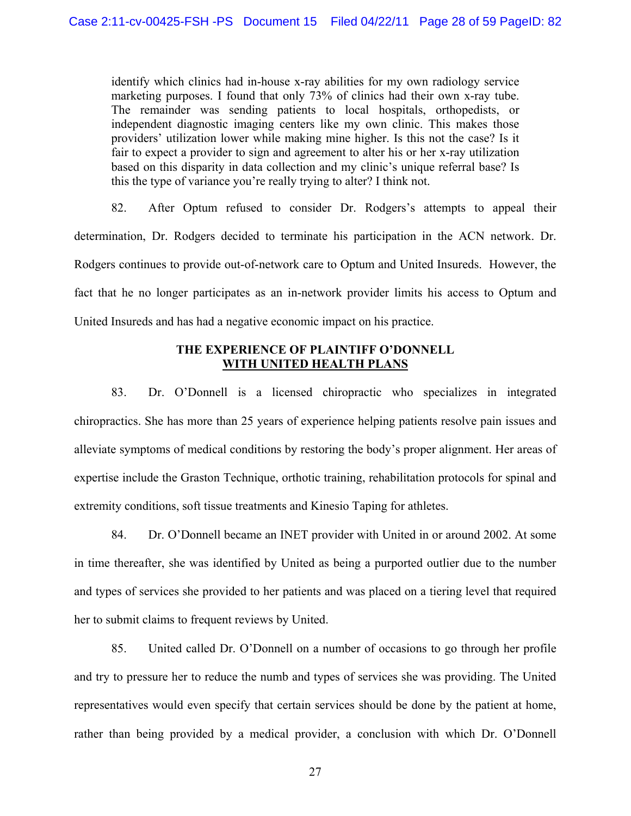identify which clinics had in-house x-ray abilities for my own radiology service marketing purposes. I found that only 73% of clinics had their own x-ray tube. The remainder was sending patients to local hospitals, orthopedists, or independent diagnostic imaging centers like my own clinic. This makes those providers' utilization lower while making mine higher. Is this not the case? Is it fair to expect a provider to sign and agreement to alter his or her x-ray utilization based on this disparity in data collection and my clinic's unique referral base? Is this the type of variance you're really trying to alter? I think not.

82. After Optum refused to consider Dr. Rodgers's attempts to appeal their determination, Dr. Rodgers decided to terminate his participation in the ACN network. Dr. Rodgers continues to provide out-of-network care to Optum and United Insureds. However, the fact that he no longer participates as an in-network provider limits his access to Optum and United Insureds and has had a negative economic impact on his practice.

## **THE EXPERIENCE OF PLAINTIFF O'DONNELL WITH UNITED HEALTH PLANS**

83. Dr. O'Donnell is a licensed chiropractic who specializes in integrated chiropractics. She has more than 25 years of experience helping patients resolve pain issues and alleviate symptoms of medical conditions by restoring the body's proper alignment. Her areas of expertise include the Graston Technique, orthotic training, rehabilitation protocols for spinal and extremity conditions, soft tissue treatments and Kinesio Taping for athletes.

84. Dr. O'Donnell became an INET provider with United in or around 2002. At some in time thereafter, she was identified by United as being a purported outlier due to the number and types of services she provided to her patients and was placed on a tiering level that required her to submit claims to frequent reviews by United.

85. United called Dr. O'Donnell on a number of occasions to go through her profile and try to pressure her to reduce the numb and types of services she was providing. The United representatives would even specify that certain services should be done by the patient at home, rather than being provided by a medical provider, a conclusion with which Dr. O'Donnell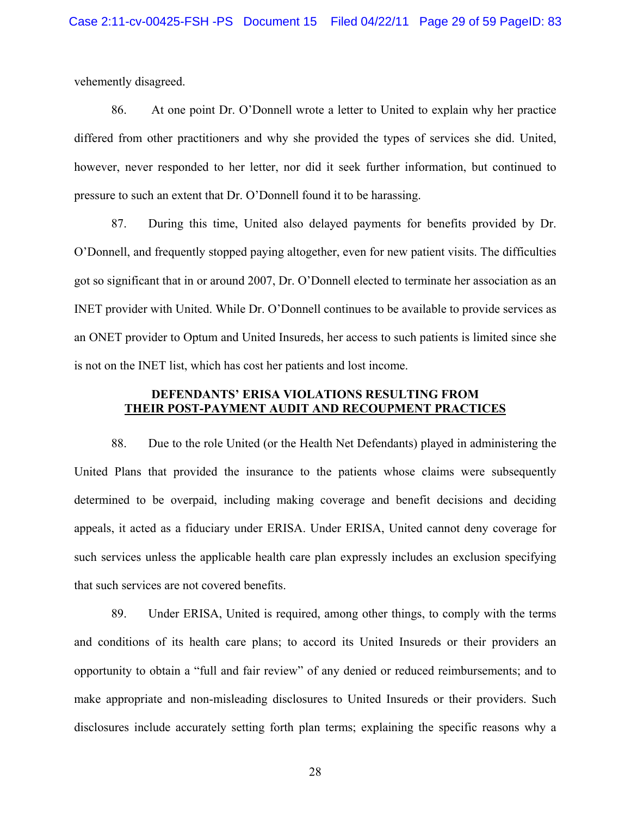vehemently disagreed.

86. At one point Dr. O'Donnell wrote a letter to United to explain why her practice differed from other practitioners and why she provided the types of services she did. United, however, never responded to her letter, nor did it seek further information, but continued to pressure to such an extent that Dr. O'Donnell found it to be harassing.

87. During this time, United also delayed payments for benefits provided by Dr. O'Donnell, and frequently stopped paying altogether, even for new patient visits. The difficulties got so significant that in or around 2007, Dr. O'Donnell elected to terminate her association as an INET provider with United. While Dr. O'Donnell continues to be available to provide services as an ONET provider to Optum and United Insureds, her access to such patients is limited since she is not on the INET list, which has cost her patients and lost income.

## **DEFENDANTS' ERISA VIOLATIONS RESULTING FROM THEIR POST-PAYMENT AUDIT AND RECOUPMENT PRACTICES**

88. Due to the role United (or the Health Net Defendants) played in administering the United Plans that provided the insurance to the patients whose claims were subsequently determined to be overpaid, including making coverage and benefit decisions and deciding appeals, it acted as a fiduciary under ERISA. Under ERISA, United cannot deny coverage for such services unless the applicable health care plan expressly includes an exclusion specifying that such services are not covered benefits.

89. Under ERISA, United is required, among other things, to comply with the terms and conditions of its health care plans; to accord its United Insureds or their providers an opportunity to obtain a "full and fair review" of any denied or reduced reimbursements; and to make appropriate and non-misleading disclosures to United Insureds or their providers. Such disclosures include accurately setting forth plan terms; explaining the specific reasons why a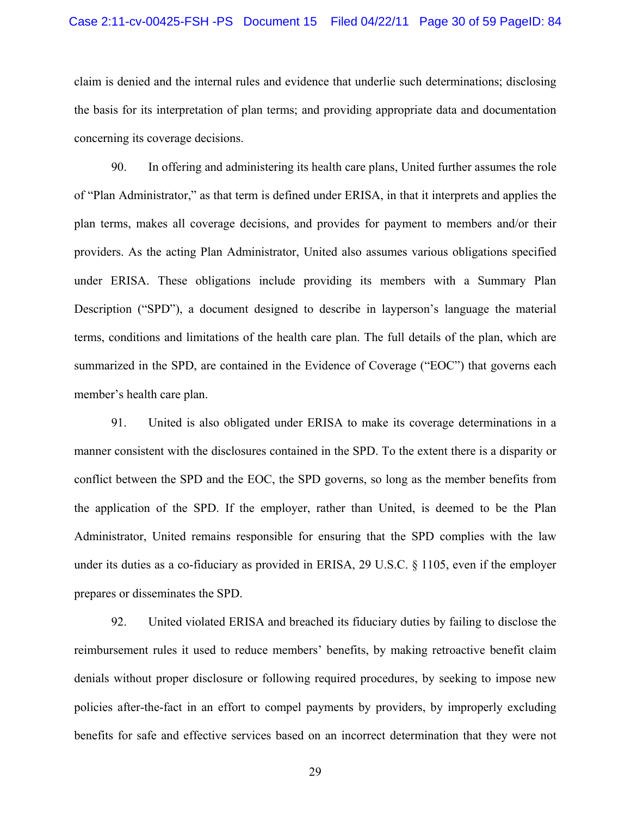claim is denied and the internal rules and evidence that underlie such determinations; disclosing the basis for its interpretation of plan terms; and providing appropriate data and documentation concerning its coverage decisions.

90. In offering and administering its health care plans, United further assumes the role of "Plan Administrator," as that term is defined under ERISA, in that it interprets and applies the plan terms, makes all coverage decisions, and provides for payment to members and/or their providers. As the acting Plan Administrator, United also assumes various obligations specified under ERISA. These obligations include providing its members with a Summary Plan Description ("SPD"), a document designed to describe in layperson's language the material terms, conditions and limitations of the health care plan. The full details of the plan, which are summarized in the SPD, are contained in the Evidence of Coverage ("EOC") that governs each member's health care plan.

91. United is also obligated under ERISA to make its coverage determinations in a manner consistent with the disclosures contained in the SPD. To the extent there is a disparity or conflict between the SPD and the EOC, the SPD governs, so long as the member benefits from the application of the SPD. If the employer, rather than United, is deemed to be the Plan Administrator, United remains responsible for ensuring that the SPD complies with the law under its duties as a co-fiduciary as provided in ERISA, 29 U.S.C. § 1105, even if the employer prepares or disseminates the SPD.

92. United violated ERISA and breached its fiduciary duties by failing to disclose the reimbursement rules it used to reduce members' benefits, by making retroactive benefit claim denials without proper disclosure or following required procedures, by seeking to impose new policies after-the-fact in an effort to compel payments by providers, by improperly excluding benefits for safe and effective services based on an incorrect determination that they were not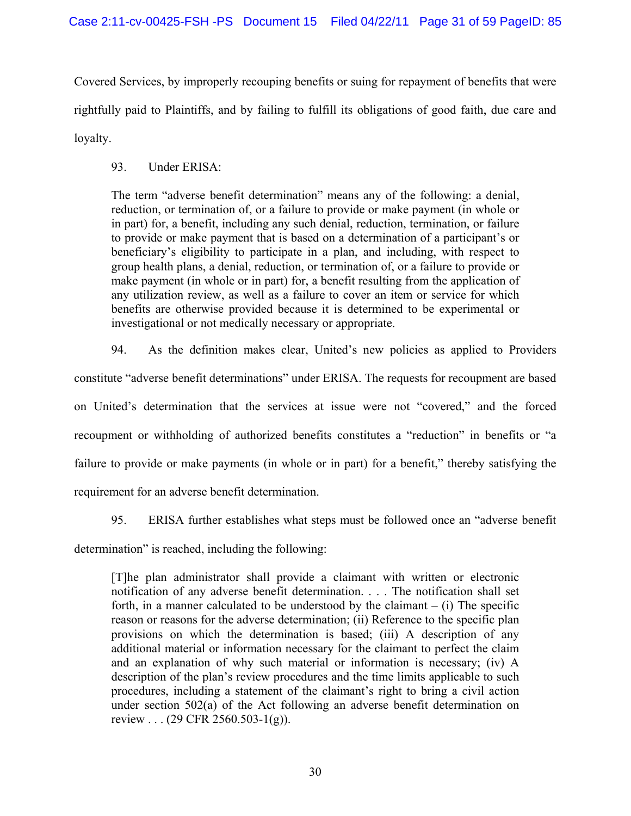Covered Services, by improperly recouping benefits or suing for repayment of benefits that were rightfully paid to Plaintiffs, and by failing to fulfill its obligations of good faith, due care and loyalty.

93. Under ERISA:

The term "adverse benefit determination" means any of the following: a denial, reduction, or termination of, or a failure to provide or make payment (in whole or in part) for, a benefit, including any such denial, reduction, termination, or failure to provide or make payment that is based on a determination of a participant's or beneficiary's eligibility to participate in a plan, and including, with respect to group health plans, a denial, reduction, or termination of, or a failure to provide or make payment (in whole or in part) for, a benefit resulting from the application of any utilization review, as well as a failure to cover an item or service for which benefits are otherwise provided because it is determined to be experimental or investigational or not medically necessary or appropriate.

94. As the definition makes clear, United's new policies as applied to Providers constitute "adverse benefit determinations" under ERISA. The requests for recoupment are based on United's determination that the services at issue were not "covered," and the forced recoupment or withholding of authorized benefits constitutes a "reduction" in benefits or "a failure to provide or make payments (in whole or in part) for a benefit," thereby satisfying the requirement for an adverse benefit determination.

95. ERISA further establishes what steps must be followed once an "adverse benefit

determination" is reached, including the following:

[T]he plan administrator shall provide a claimant with written or electronic notification of any adverse benefit determination. . . . The notification shall set forth, in a manner calculated to be understood by the claimant  $-$  (i) The specific reason or reasons for the adverse determination; (ii) Reference to the specific plan provisions on which the determination is based; (iii) A description of any additional material or information necessary for the claimant to perfect the claim and an explanation of why such material or information is necessary; (iv) A description of the plan's review procedures and the time limits applicable to such procedures, including a statement of the claimant's right to bring a civil action under section 502(a) of the Act following an adverse benefit determination on review . . . (29 CFR 2560.503-1(g)).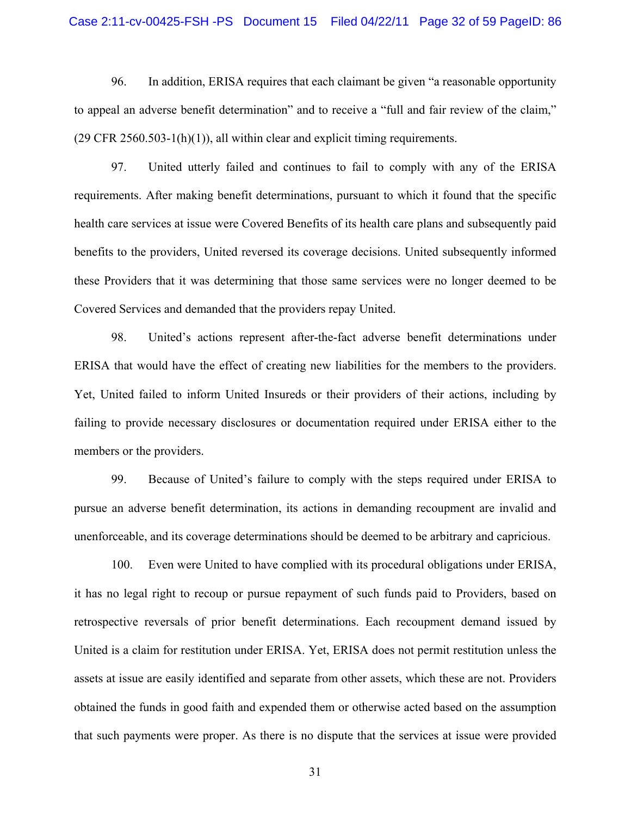#### Case 2:11-cv-00425-FSH -PS Document 15 Filed 04/22/11 Page 32 of 59 PageID: 86

96. In addition, ERISA requires that each claimant be given "a reasonable opportunity to appeal an adverse benefit determination" and to receive a "full and fair review of the claim,"  $(29 \text{ CFR } 2560.503 - 1(h)(1))$ , all within clear and explicit timing requirements.

97. United utterly failed and continues to fail to comply with any of the ERISA requirements. After making benefit determinations, pursuant to which it found that the specific health care services at issue were Covered Benefits of its health care plans and subsequently paid benefits to the providers, United reversed its coverage decisions. United subsequently informed these Providers that it was determining that those same services were no longer deemed to be Covered Services and demanded that the providers repay United.

98. United's actions represent after-the-fact adverse benefit determinations under ERISA that would have the effect of creating new liabilities for the members to the providers. Yet, United failed to inform United Insureds or their providers of their actions, including by failing to provide necessary disclosures or documentation required under ERISA either to the members or the providers.

99. Because of United's failure to comply with the steps required under ERISA to pursue an adverse benefit determination, its actions in demanding recoupment are invalid and unenforceable, and its coverage determinations should be deemed to be arbitrary and capricious.

100. Even were United to have complied with its procedural obligations under ERISA, it has no legal right to recoup or pursue repayment of such funds paid to Providers, based on retrospective reversals of prior benefit determinations. Each recoupment demand issued by United is a claim for restitution under ERISA. Yet, ERISA does not permit restitution unless the assets at issue are easily identified and separate from other assets, which these are not. Providers obtained the funds in good faith and expended them or otherwise acted based on the assumption that such payments were proper. As there is no dispute that the services at issue were provided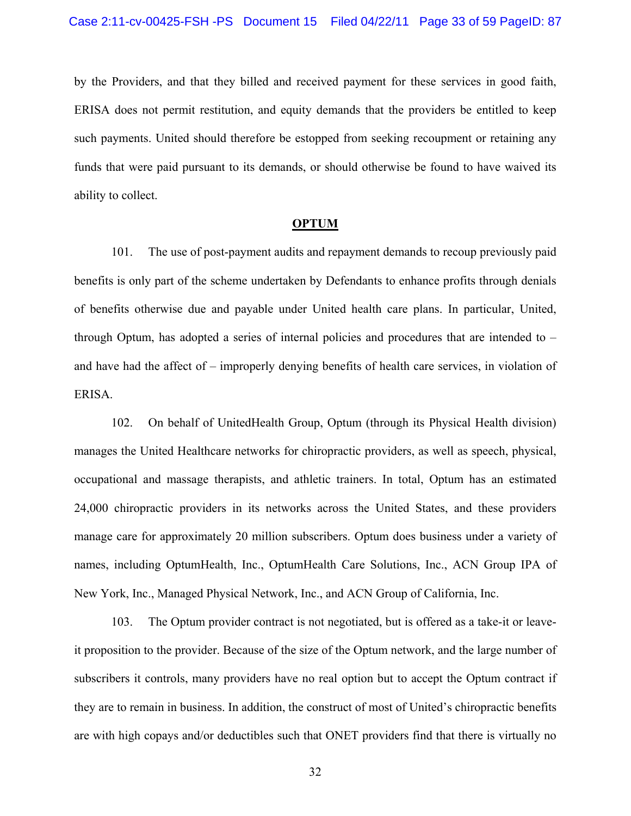by the Providers, and that they billed and received payment for these services in good faith, ERISA does not permit restitution, and equity demands that the providers be entitled to keep such payments. United should therefore be estopped from seeking recoupment or retaining any funds that were paid pursuant to its demands, or should otherwise be found to have waived its ability to collect.

#### **OPTUM**

101. The use of post-payment audits and repayment demands to recoup previously paid benefits is only part of the scheme undertaken by Defendants to enhance profits through denials of benefits otherwise due and payable under United health care plans. In particular, United, through Optum, has adopted a series of internal policies and procedures that are intended to – and have had the affect of – improperly denying benefits of health care services, in violation of ERISA.

102. On behalf of UnitedHealth Group, Optum (through its Physical Health division) manages the United Healthcare networks for chiropractic providers, as well as speech, physical, occupational and massage therapists, and athletic trainers. In total, Optum has an estimated 24,000 chiropractic providers in its networks across the United States, and these providers manage care for approximately 20 million subscribers. Optum does business under a variety of names, including OptumHealth, Inc., OptumHealth Care Solutions, Inc., ACN Group IPA of New York, Inc., Managed Physical Network, Inc., and ACN Group of California, Inc.

103. The Optum provider contract is not negotiated, but is offered as a take-it or leaveit proposition to the provider. Because of the size of the Optum network, and the large number of subscribers it controls, many providers have no real option but to accept the Optum contract if they are to remain in business. In addition, the construct of most of United's chiropractic benefits are with high copays and/or deductibles such that ONET providers find that there is virtually no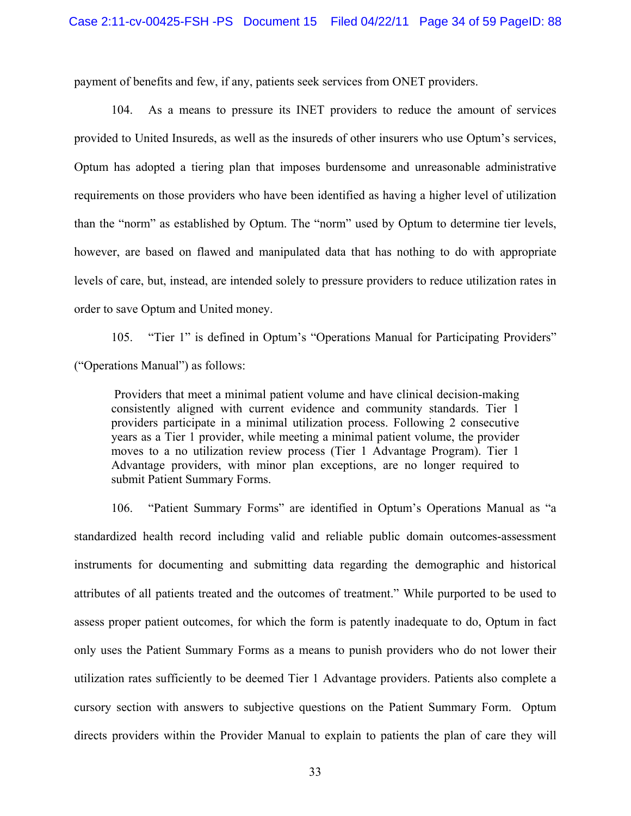payment of benefits and few, if any, patients seek services from ONET providers.

104. As a means to pressure its INET providers to reduce the amount of services provided to United Insureds, as well as the insureds of other insurers who use Optum's services, Optum has adopted a tiering plan that imposes burdensome and unreasonable administrative requirements on those providers who have been identified as having a higher level of utilization than the "norm" as established by Optum. The "norm" used by Optum to determine tier levels, however, are based on flawed and manipulated data that has nothing to do with appropriate levels of care, but, instead, are intended solely to pressure providers to reduce utilization rates in order to save Optum and United money.

105. "Tier 1" is defined in Optum's "Operations Manual for Participating Providers" ("Operations Manual") as follows:

 Providers that meet a minimal patient volume and have clinical decision-making consistently aligned with current evidence and community standards. Tier 1 providers participate in a minimal utilization process. Following 2 consecutive years as a Tier 1 provider, while meeting a minimal patient volume, the provider moves to a no utilization review process (Tier 1 Advantage Program). Tier 1 Advantage providers, with minor plan exceptions, are no longer required to submit Patient Summary Forms.

106. "Patient Summary Forms" are identified in Optum's Operations Manual as "a standardized health record including valid and reliable public domain outcomes-assessment instruments for documenting and submitting data regarding the demographic and historical attributes of all patients treated and the outcomes of treatment." While purported to be used to assess proper patient outcomes, for which the form is patently inadequate to do, Optum in fact only uses the Patient Summary Forms as a means to punish providers who do not lower their utilization rates sufficiently to be deemed Tier 1 Advantage providers. Patients also complete a cursory section with answers to subjective questions on the Patient Summary Form. Optum directs providers within the Provider Manual to explain to patients the plan of care they will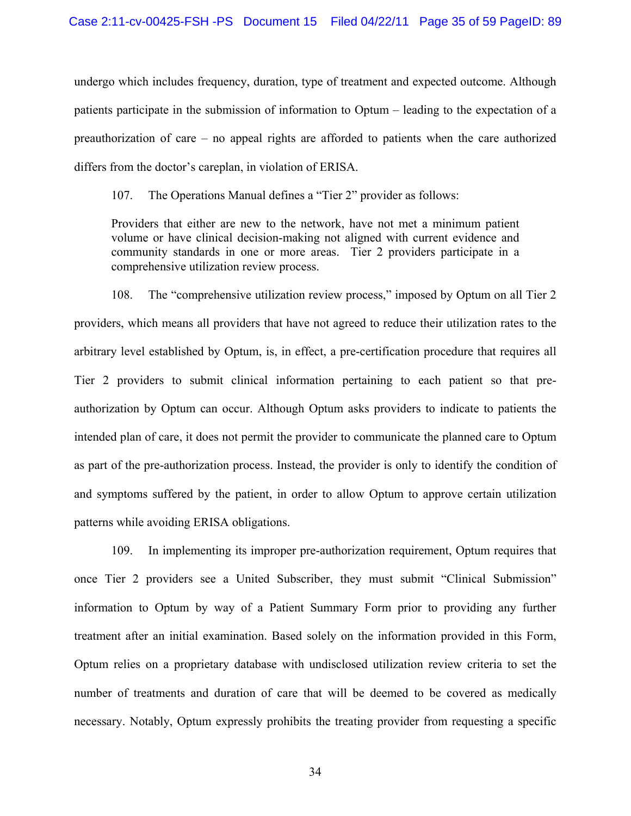undergo which includes frequency, duration, type of treatment and expected outcome. Although patients participate in the submission of information to Optum – leading to the expectation of a preauthorization of care – no appeal rights are afforded to patients when the care authorized differs from the doctor's careplan, in violation of ERISA.

107. The Operations Manual defines a "Tier 2" provider as follows:

Providers that either are new to the network, have not met a minimum patient volume or have clinical decision-making not aligned with current evidence and community standards in one or more areas. Tier 2 providers participate in a comprehensive utilization review process.

108. The "comprehensive utilization review process," imposed by Optum on all Tier 2 providers, which means all providers that have not agreed to reduce their utilization rates to the arbitrary level established by Optum, is, in effect, a pre-certification procedure that requires all Tier 2 providers to submit clinical information pertaining to each patient so that preauthorization by Optum can occur. Although Optum asks providers to indicate to patients the intended plan of care, it does not permit the provider to communicate the planned care to Optum as part of the pre-authorization process. Instead, the provider is only to identify the condition of and symptoms suffered by the patient, in order to allow Optum to approve certain utilization patterns while avoiding ERISA obligations.

109. In implementing its improper pre-authorization requirement, Optum requires that once Tier 2 providers see a United Subscriber, they must submit "Clinical Submission" information to Optum by way of a Patient Summary Form prior to providing any further treatment after an initial examination. Based solely on the information provided in this Form, Optum relies on a proprietary database with undisclosed utilization review criteria to set the number of treatments and duration of care that will be deemed to be covered as medically necessary. Notably, Optum expressly prohibits the treating provider from requesting a specific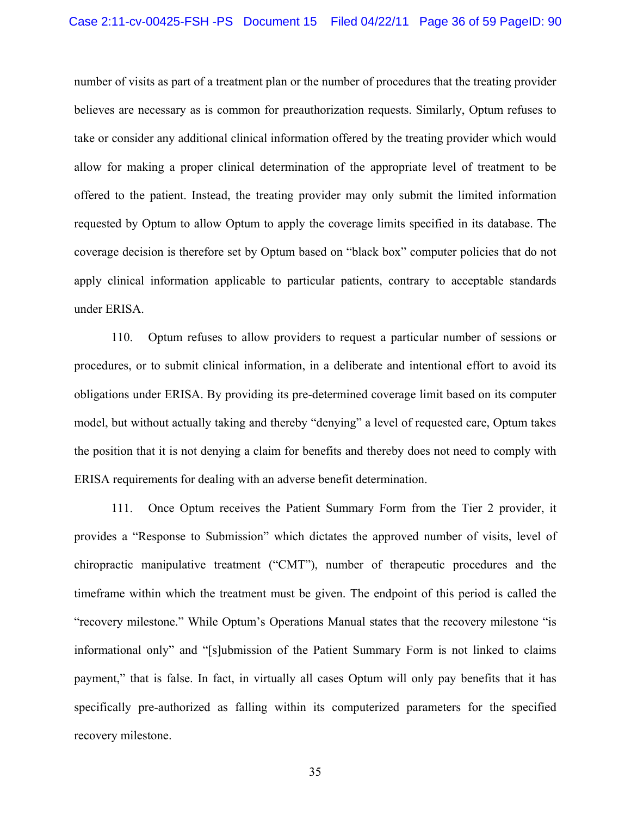number of visits as part of a treatment plan or the number of procedures that the treating provider believes are necessary as is common for preauthorization requests. Similarly, Optum refuses to take or consider any additional clinical information offered by the treating provider which would allow for making a proper clinical determination of the appropriate level of treatment to be offered to the patient. Instead, the treating provider may only submit the limited information requested by Optum to allow Optum to apply the coverage limits specified in its database. The coverage decision is therefore set by Optum based on "black box" computer policies that do not apply clinical information applicable to particular patients, contrary to acceptable standards under ERISA.

110. Optum refuses to allow providers to request a particular number of sessions or procedures, or to submit clinical information, in a deliberate and intentional effort to avoid its obligations under ERISA. By providing its pre-determined coverage limit based on its computer model, but without actually taking and thereby "denying" a level of requested care, Optum takes the position that it is not denying a claim for benefits and thereby does not need to comply with ERISA requirements for dealing with an adverse benefit determination.

111. Once Optum receives the Patient Summary Form from the Tier 2 provider, it provides a "Response to Submission" which dictates the approved number of visits, level of chiropractic manipulative treatment ("CMT"), number of therapeutic procedures and the timeframe within which the treatment must be given. The endpoint of this period is called the "recovery milestone." While Optum's Operations Manual states that the recovery milestone "is informational only" and "[s]ubmission of the Patient Summary Form is not linked to claims payment," that is false. In fact, in virtually all cases Optum will only pay benefits that it has specifically pre-authorized as falling within its computerized parameters for the specified recovery milestone.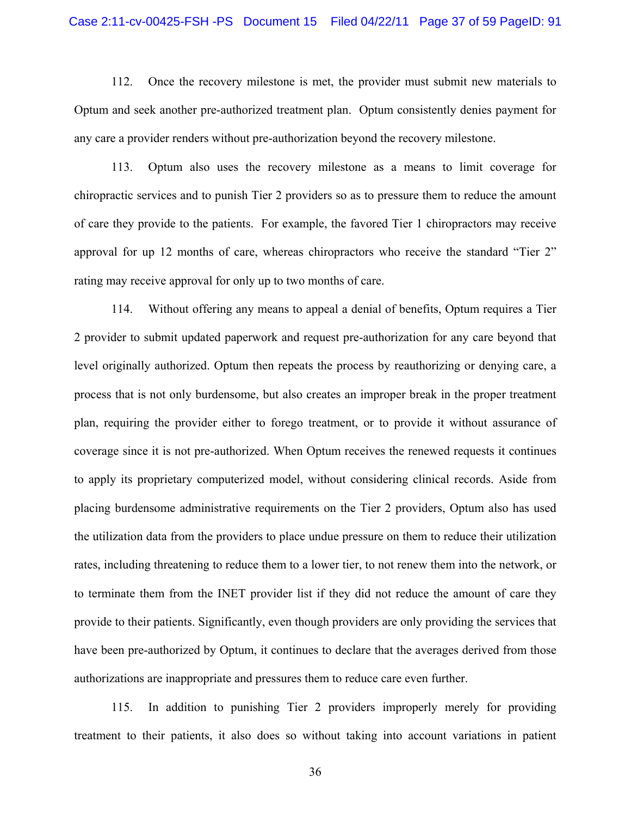# Case 2:11-cv-00425-FSH -PS Document 15 Filed 04/22/11 Page 37 of 59 PageID: 91

112. Once the recovery milestone is met, the provider must submit new materials to Optum and seek another pre-authorized treatment plan. Optum consistently denies payment for any care a provider renders without pre-authorization beyond the recovery milestone.

113. Optum also uses the recovery milestone as a means to limit coverage for chiropractic services and to punish Tier 2 providers so as to pressure them to reduce the amount of care they provide to the patients. For example, the favored Tier 1 chiropractors may receive approval for up 12 months of care, whereas chiropractors who receive the standard "Tier 2" rating may receive approval for only up to two months of care.

114. Without offering any means to appeal a denial of benefits, Optum requires a Tier 2 provider to submit updated paperwork and request pre-authorization for any care beyond that level originally authorized. Optum then repeats the process by reauthorizing or denying care, a process that is not only burdensome, but also creates an improper break in the proper treatment plan, requiring the provider either to forego treatment, or to provide it without assurance of coverage since it is not pre-authorized. When Optum receives the renewed requests it continues to apply its proprietary computerized model, without considering clinical records. Aside from placing burdensome administrative requirements on the Tier 2 providers, Optum also has used the utilization data from the providers to place undue pressure on them to reduce their utilization rates, including threatening to reduce them to a lower tier, to not renew them into the network, or to terminate them from the INET provider list if they did not reduce the amount of care they provide to their patients. Significantly, even though providers are only providing the services that have been pre-authorized by Optum, it continues to declare that the averages derived from those authorizations are inappropriate and pressures them to reduce care even further.

115. In addition to punishing Tier 2 providers improperly merely for providing treatment to their patients, it also does so without taking into account variations in patient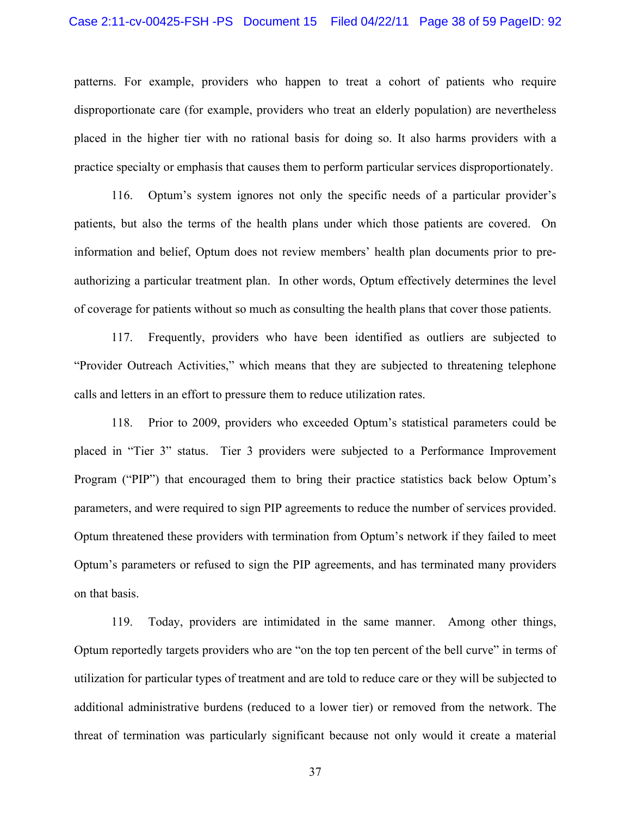# Case 2:11-cv-00425-FSH -PS Document 15 Filed 04/22/11 Page 38 of 59 PageID: 92

patterns. For example, providers who happen to treat a cohort of patients who require disproportionate care (for example, providers who treat an elderly population) are nevertheless placed in the higher tier with no rational basis for doing so. It also harms providers with a practice specialty or emphasis that causes them to perform particular services disproportionately.

116. Optum's system ignores not only the specific needs of a particular provider's patients, but also the terms of the health plans under which those patients are covered. On information and belief, Optum does not review members' health plan documents prior to preauthorizing a particular treatment plan. In other words, Optum effectively determines the level of coverage for patients without so much as consulting the health plans that cover those patients.

117. Frequently, providers who have been identified as outliers are subjected to "Provider Outreach Activities," which means that they are subjected to threatening telephone calls and letters in an effort to pressure them to reduce utilization rates.

118. Prior to 2009, providers who exceeded Optum's statistical parameters could be placed in "Tier 3" status. Tier 3 providers were subjected to a Performance Improvement Program ("PIP") that encouraged them to bring their practice statistics back below Optum's parameters, and were required to sign PIP agreements to reduce the number of services provided. Optum threatened these providers with termination from Optum's network if they failed to meet Optum's parameters or refused to sign the PIP agreements, and has terminated many providers on that basis.

119. Today, providers are intimidated in the same manner. Among other things, Optum reportedly targets providers who are "on the top ten percent of the bell curve" in terms of utilization for particular types of treatment and are told to reduce care or they will be subjected to additional administrative burdens (reduced to a lower tier) or removed from the network. The threat of termination was particularly significant because not only would it create a material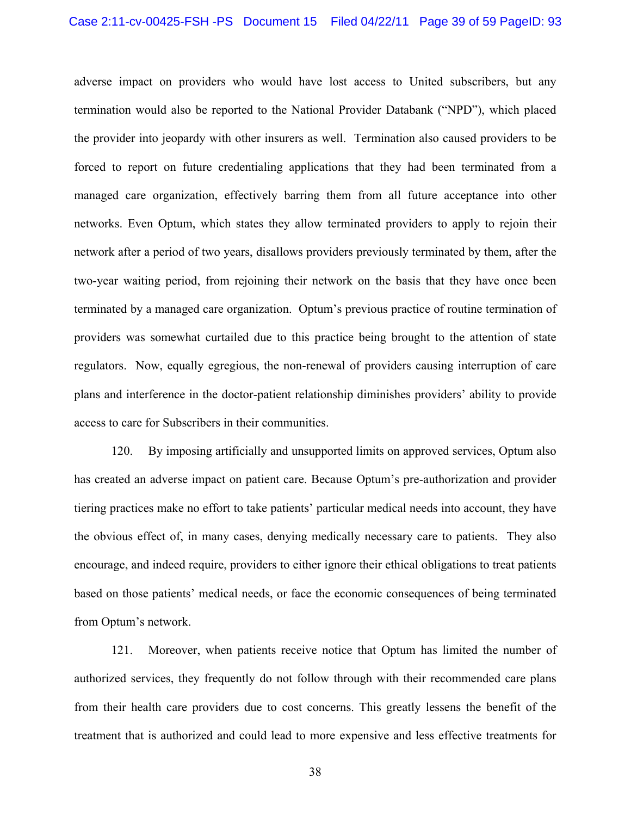adverse impact on providers who would have lost access to United subscribers, but any termination would also be reported to the National Provider Databank ("NPD"), which placed the provider into jeopardy with other insurers as well. Termination also caused providers to be forced to report on future credentialing applications that they had been terminated from a managed care organization, effectively barring them from all future acceptance into other networks. Even Optum, which states they allow terminated providers to apply to rejoin their network after a period of two years, disallows providers previously terminated by them, after the two-year waiting period, from rejoining their network on the basis that they have once been terminated by a managed care organization. Optum's previous practice of routine termination of providers was somewhat curtailed due to this practice being brought to the attention of state regulators. Now, equally egregious, the non-renewal of providers causing interruption of care plans and interference in the doctor-patient relationship diminishes providers' ability to provide access to care for Subscribers in their communities.

120. By imposing artificially and unsupported limits on approved services, Optum also has created an adverse impact on patient care. Because Optum's pre-authorization and provider tiering practices make no effort to take patients' particular medical needs into account, they have the obvious effect of, in many cases, denying medically necessary care to patients. They also encourage, and indeed require, providers to either ignore their ethical obligations to treat patients based on those patients' medical needs, or face the economic consequences of being terminated from Optum's network.

121. Moreover, when patients receive notice that Optum has limited the number of authorized services, they frequently do not follow through with their recommended care plans from their health care providers due to cost concerns. This greatly lessens the benefit of the treatment that is authorized and could lead to more expensive and less effective treatments for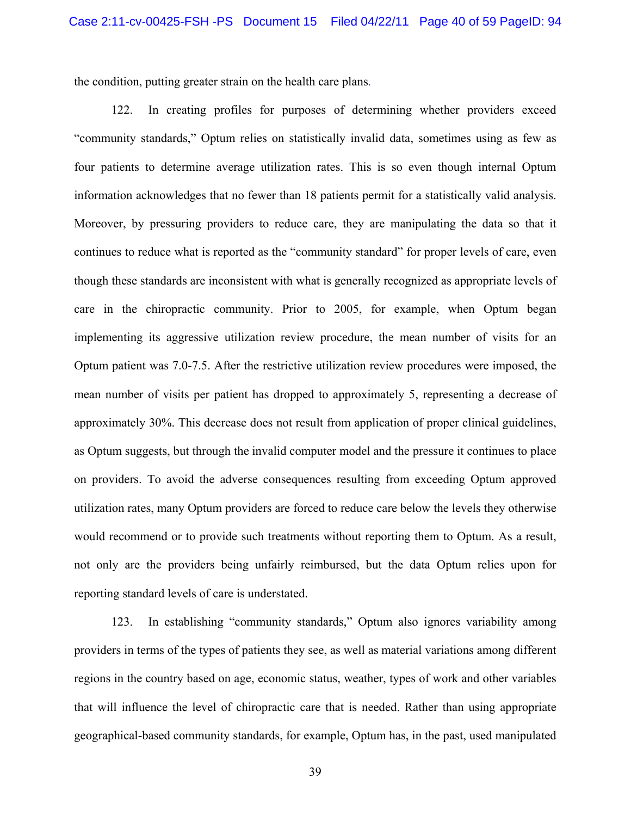the condition, putting greater strain on the health care plans.

122. In creating profiles for purposes of determining whether providers exceed "community standards," Optum relies on statistically invalid data, sometimes using as few as four patients to determine average utilization rates. This is so even though internal Optum information acknowledges that no fewer than 18 patients permit for a statistically valid analysis. Moreover, by pressuring providers to reduce care, they are manipulating the data so that it continues to reduce what is reported as the "community standard" for proper levels of care, even though these standards are inconsistent with what is generally recognized as appropriate levels of care in the chiropractic community. Prior to 2005, for example, when Optum began implementing its aggressive utilization review procedure, the mean number of visits for an Optum patient was 7.0-7.5. After the restrictive utilization review procedures were imposed, the mean number of visits per patient has dropped to approximately 5, representing a decrease of approximately 30%. This decrease does not result from application of proper clinical guidelines, as Optum suggests, but through the invalid computer model and the pressure it continues to place on providers. To avoid the adverse consequences resulting from exceeding Optum approved utilization rates, many Optum providers are forced to reduce care below the levels they otherwise would recommend or to provide such treatments without reporting them to Optum. As a result, not only are the providers being unfairly reimbursed, but the data Optum relies upon for reporting standard levels of care is understated.

123. In establishing "community standards," Optum also ignores variability among providers in terms of the types of patients they see, as well as material variations among different regions in the country based on age, economic status, weather, types of work and other variables that will influence the level of chiropractic care that is needed. Rather than using appropriate geographical-based community standards, for example, Optum has, in the past, used manipulated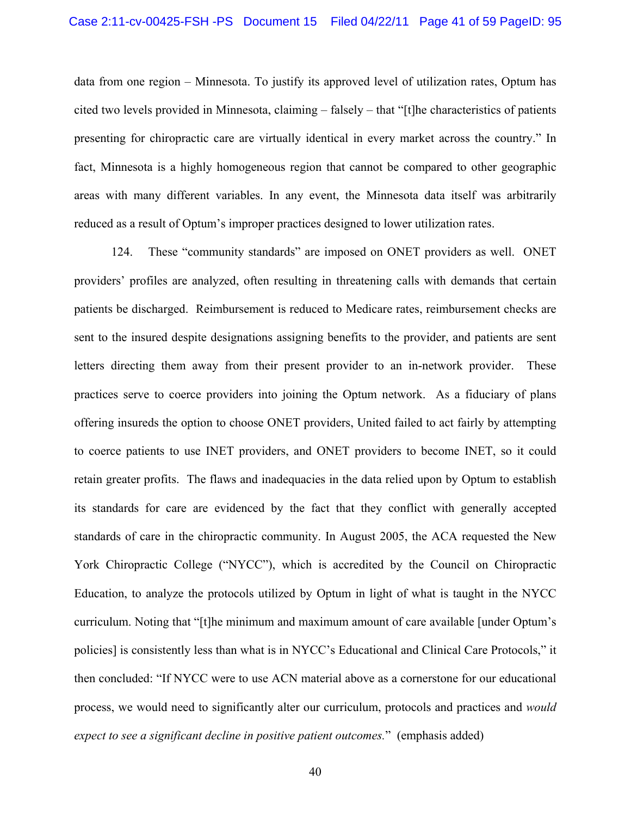data from one region – Minnesota. To justify its approved level of utilization rates, Optum has cited two levels provided in Minnesota, claiming – falsely – that "[t]he characteristics of patients presenting for chiropractic care are virtually identical in every market across the country." In fact, Minnesota is a highly homogeneous region that cannot be compared to other geographic areas with many different variables. In any event, the Minnesota data itself was arbitrarily reduced as a result of Optum's improper practices designed to lower utilization rates.

124. These "community standards" are imposed on ONET providers as well. ONET providers' profiles are analyzed, often resulting in threatening calls with demands that certain patients be discharged. Reimbursement is reduced to Medicare rates, reimbursement checks are sent to the insured despite designations assigning benefits to the provider, and patients are sent letters directing them away from their present provider to an in-network provider. These practices serve to coerce providers into joining the Optum network. As a fiduciary of plans offering insureds the option to choose ONET providers, United failed to act fairly by attempting to coerce patients to use INET providers, and ONET providers to become INET, so it could retain greater profits. The flaws and inadequacies in the data relied upon by Optum to establish its standards for care are evidenced by the fact that they conflict with generally accepted standards of care in the chiropractic community. In August 2005, the ACA requested the New York Chiropractic College ("NYCC"), which is accredited by the Council on Chiropractic Education, to analyze the protocols utilized by Optum in light of what is taught in the NYCC curriculum. Noting that "[t]he minimum and maximum amount of care available [under Optum's policies] is consistently less than what is in NYCC's Educational and Clinical Care Protocols," it then concluded: "If NYCC were to use ACN material above as a cornerstone for our educational process, we would need to significantly alter our curriculum, protocols and practices and *would expect to see a significant decline in positive patient outcomes.*" (emphasis added)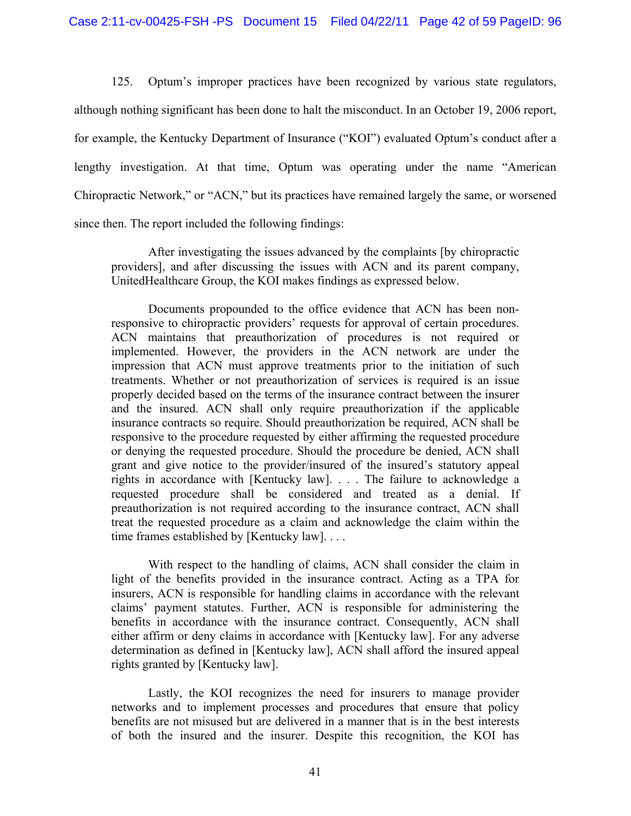125. Optum's improper practices have been recognized by various state regulators, although nothing significant has been done to halt the misconduct. In an October 19, 2006 report, for example, the Kentucky Department of Insurance ("KOI") evaluated Optum's conduct after a lengthy investigation. At that time, Optum was operating under the name "American Chiropractic Network," or "ACN," but its practices have remained largely the same, or worsened since then. The report included the following findings:

After investigating the issues advanced by the complaints [by chiropractic providers], and after discussing the issues with ACN and its parent company, UnitedHealthcare Group, the KOI makes findings as expressed below.

Documents propounded to the office evidence that ACN has been nonresponsive to chiropractic providers' requests for approval of certain procedures. ACN maintains that preauthorization of procedures is not required or implemented. However, the providers in the ACN network are under the impression that ACN must approve treatments prior to the initiation of such treatments. Whether or not preauthorization of services is required is an issue properly decided based on the terms of the insurance contract between the insurer and the insured. ACN shall only require preauthorization if the applicable insurance contracts so require. Should preauthorization be required, ACN shall be responsive to the procedure requested by either affirming the requested procedure or denying the requested procedure. Should the procedure be denied, ACN shall grant and give notice to the provider/insured of the insured's statutory appeal rights in accordance with [Kentucky law]. . . . The failure to acknowledge a requested procedure shall be considered and treated as a denial. If preauthorization is not required according to the insurance contract, ACN shall treat the requested procedure as a claim and acknowledge the claim within the time frames established by [Kentucky law]. . . .

With respect to the handling of claims, ACN shall consider the claim in light of the benefits provided in the insurance contract. Acting as a TPA for insurers, ACN is responsible for handling claims in accordance with the relevant claims' payment statutes. Further, ACN is responsible for administering the benefits in accordance with the insurance contract. Consequently, ACN shall either affirm or deny claims in accordance with [Kentucky law]. For any adverse determination as defined in [Kentucky law], ACN shall afford the insured appeal rights granted by [Kentucky law].

Lastly, the KOI recognizes the need for insurers to manage provider networks and to implement processes and procedures that ensure that policy benefits are not misused but are delivered in a manner that is in the best interests of both the insured and the insurer. Despite this recognition, the KOI has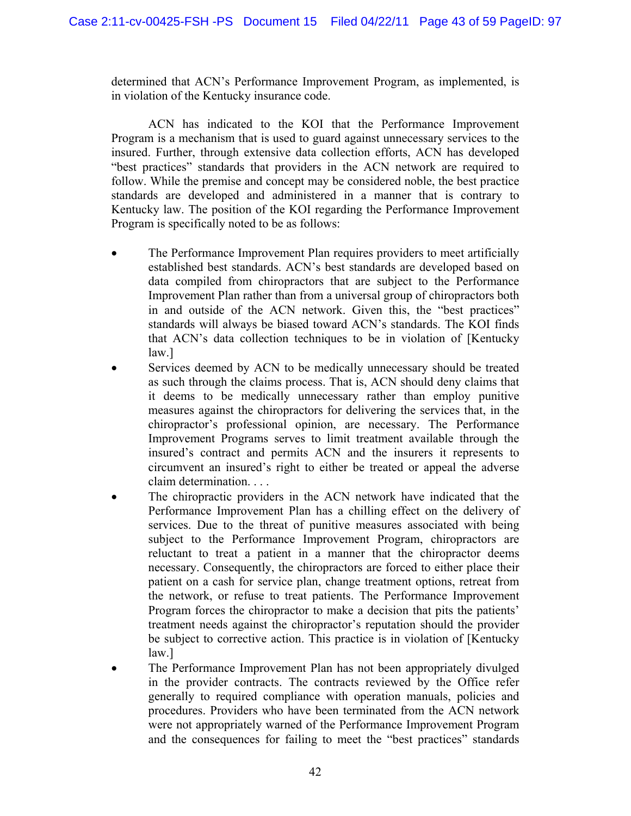determined that ACN's Performance Improvement Program, as implemented, is in violation of the Kentucky insurance code.

ACN has indicated to the KOI that the Performance Improvement Program is a mechanism that is used to guard against unnecessary services to the insured. Further, through extensive data collection efforts, ACN has developed "best practices" standards that providers in the ACN network are required to follow. While the premise and concept may be considered noble, the best practice standards are developed and administered in a manner that is contrary to Kentucky law. The position of the KOI regarding the Performance Improvement Program is specifically noted to be as follows:

- The Performance Improvement Plan requires providers to meet artificially established best standards. ACN's best standards are developed based on data compiled from chiropractors that are subject to the Performance Improvement Plan rather than from a universal group of chiropractors both in and outside of the ACN network. Given this, the "best practices" standards will always be biased toward ACN's standards. The KOI finds that ACN's data collection techniques to be in violation of [Kentucky law.]
- Services deemed by ACN to be medically unnecessary should be treated as such through the claims process. That is, ACN should deny claims that it deems to be medically unnecessary rather than employ punitive measures against the chiropractors for delivering the services that, in the chiropractor's professional opinion, are necessary. The Performance Improvement Programs serves to limit treatment available through the insured's contract and permits ACN and the insurers it represents to circumvent an insured's right to either be treated or appeal the adverse claim determination. . . .
- The chiropractic providers in the ACN network have indicated that the Performance Improvement Plan has a chilling effect on the delivery of services. Due to the threat of punitive measures associated with being subject to the Performance Improvement Program, chiropractors are reluctant to treat a patient in a manner that the chiropractor deems necessary. Consequently, the chiropractors are forced to either place their patient on a cash for service plan, change treatment options, retreat from the network, or refuse to treat patients. The Performance Improvement Program forces the chiropractor to make a decision that pits the patients' treatment needs against the chiropractor's reputation should the provider be subject to corrective action. This practice is in violation of [Kentucky law.]
- The Performance Improvement Plan has not been appropriately divulged in the provider contracts. The contracts reviewed by the Office refer generally to required compliance with operation manuals, policies and procedures. Providers who have been terminated from the ACN network were not appropriately warned of the Performance Improvement Program and the consequences for failing to meet the "best practices" standards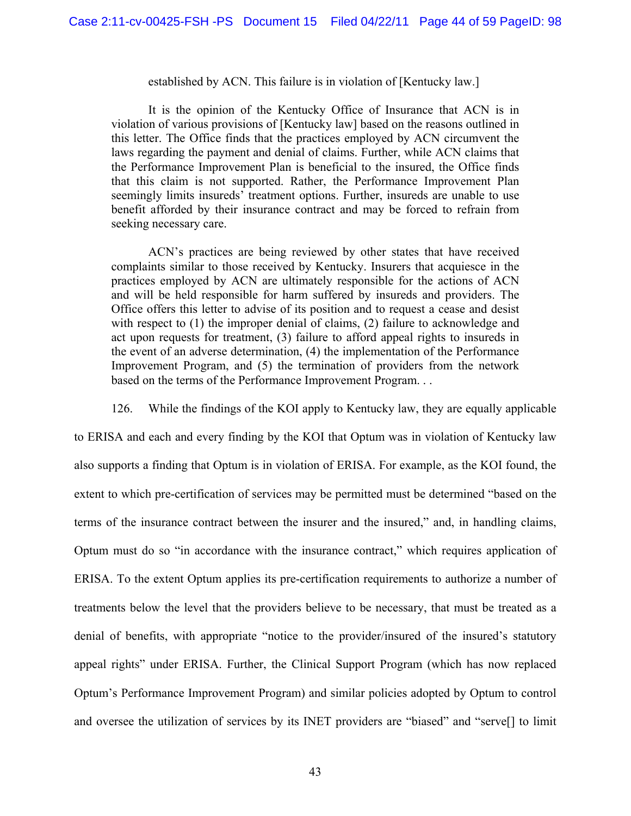#### established by ACN. This failure is in violation of [Kentucky law.]

It is the opinion of the Kentucky Office of Insurance that ACN is in violation of various provisions of [Kentucky law] based on the reasons outlined in this letter. The Office finds that the practices employed by ACN circumvent the laws regarding the payment and denial of claims. Further, while ACN claims that the Performance Improvement Plan is beneficial to the insured, the Office finds that this claim is not supported. Rather, the Performance Improvement Plan seemingly limits insureds' treatment options. Further, insureds are unable to use benefit afforded by their insurance contract and may be forced to refrain from seeking necessary care.

ACN's practices are being reviewed by other states that have received complaints similar to those received by Kentucky. Insurers that acquiesce in the practices employed by ACN are ultimately responsible for the actions of ACN and will be held responsible for harm suffered by insureds and providers. The Office offers this letter to advise of its position and to request a cease and desist with respect to (1) the improper denial of claims, (2) failure to acknowledge and act upon requests for treatment, (3) failure to afford appeal rights to insureds in the event of an adverse determination, (4) the implementation of the Performance Improvement Program, and (5) the termination of providers from the network based on the terms of the Performance Improvement Program. . .

126. While the findings of the KOI apply to Kentucky law, they are equally applicable

to ERISA and each and every finding by the KOI that Optum was in violation of Kentucky law also supports a finding that Optum is in violation of ERISA. For example, as the KOI found, the extent to which pre-certification of services may be permitted must be determined "based on the terms of the insurance contract between the insurer and the insured," and, in handling claims, Optum must do so "in accordance with the insurance contract," which requires application of ERISA. To the extent Optum applies its pre-certification requirements to authorize a number of treatments below the level that the providers believe to be necessary, that must be treated as a denial of benefits, with appropriate "notice to the provider/insured of the insured's statutory appeal rights" under ERISA. Further, the Clinical Support Program (which has now replaced Optum's Performance Improvement Program) and similar policies adopted by Optum to control and oversee the utilization of services by its INET providers are "biased" and "serve[] to limit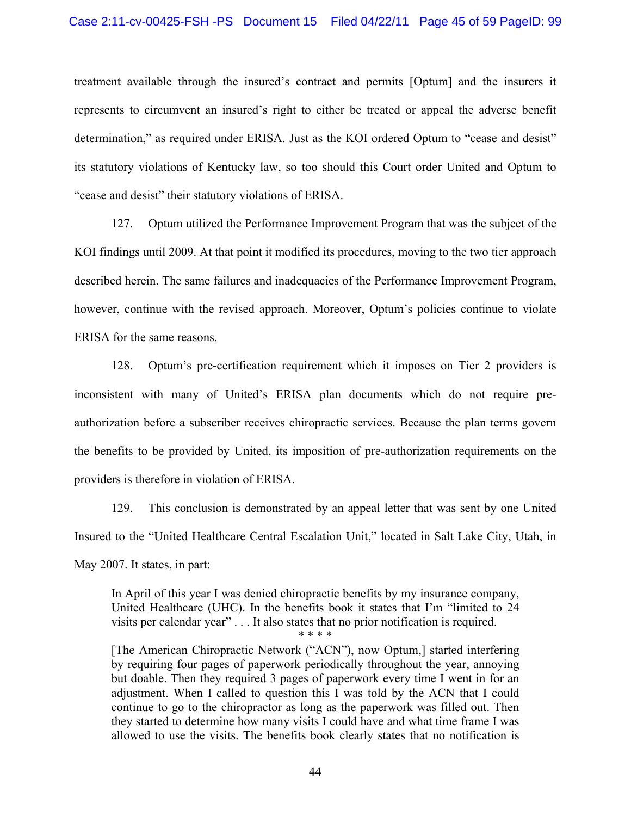treatment available through the insured's contract and permits [Optum] and the insurers it represents to circumvent an insured's right to either be treated or appeal the adverse benefit determination," as required under ERISA. Just as the KOI ordered Optum to "cease and desist" its statutory violations of Kentucky law, so too should this Court order United and Optum to "cease and desist" their statutory violations of ERISA.

127. Optum utilized the Performance Improvement Program that was the subject of the KOI findings until 2009. At that point it modified its procedures, moving to the two tier approach described herein. The same failures and inadequacies of the Performance Improvement Program, however, continue with the revised approach. Moreover, Optum's policies continue to violate ERISA for the same reasons.

128. Optum's pre-certification requirement which it imposes on Tier 2 providers is inconsistent with many of United's ERISA plan documents which do not require preauthorization before a subscriber receives chiropractic services. Because the plan terms govern the benefits to be provided by United, its imposition of pre-authorization requirements on the providers is therefore in violation of ERISA.

129. This conclusion is demonstrated by an appeal letter that was sent by one United Insured to the "United Healthcare Central Escalation Unit," located in Salt Lake City, Utah, in May 2007. It states, in part:

In April of this year I was denied chiropractic benefits by my insurance company, United Healthcare (UHC). In the benefits book it states that I'm "limited to 24 visits per calendar year" . . . It also states that no prior notification is required. \* \* \* \*

[The American Chiropractic Network ("ACN"), now Optum,] started interfering by requiring four pages of paperwork periodically throughout the year, annoying but doable. Then they required 3 pages of paperwork every time I went in for an adjustment. When I called to question this I was told by the ACN that I could continue to go to the chiropractor as long as the paperwork was filled out. Then they started to determine how many visits I could have and what time frame I was allowed to use the visits. The benefits book clearly states that no notification is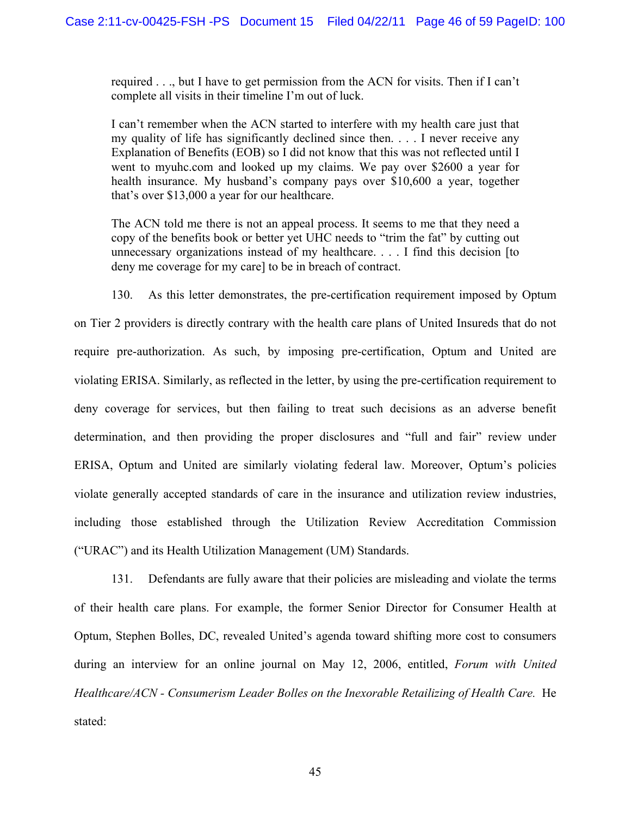required . . ., but I have to get permission from the ACN for visits. Then if I can't complete all visits in their timeline I'm out of luck.

I can't remember when the ACN started to interfere with my health care just that my quality of life has significantly declined since then. . . . I never receive any Explanation of Benefits (EOB) so I did not know that this was not reflected until I went to myuhc.com and looked up my claims. We pay over \$2600 a year for health insurance. My husband's company pays over \$10,600 a year, together that's over \$13,000 a year for our healthcare.

The ACN told me there is not an appeal process. It seems to me that they need a copy of the benefits book or better yet UHC needs to "trim the fat" by cutting out unnecessary organizations instead of my healthcare. . . . I find this decision [to deny me coverage for my care] to be in breach of contract.

130. As this letter demonstrates, the pre-certification requirement imposed by Optum

on Tier 2 providers is directly contrary with the health care plans of United Insureds that do not require pre-authorization. As such, by imposing pre-certification, Optum and United are violating ERISA. Similarly, as reflected in the letter, by using the pre-certification requirement to deny coverage for services, but then failing to treat such decisions as an adverse benefit determination, and then providing the proper disclosures and "full and fair" review under ERISA, Optum and United are similarly violating federal law. Moreover, Optum's policies violate generally accepted standards of care in the insurance and utilization review industries, including those established through the Utilization Review Accreditation Commission ("URAC") and its Health Utilization Management (UM) Standards.

131. Defendants are fully aware that their policies are misleading and violate the terms of their health care plans. For example, the former Senior Director for Consumer Health at Optum, Stephen Bolles, DC, revealed United's agenda toward shifting more cost to consumers during an interview for an online journal on May 12, 2006, entitled, *Forum with United Healthcare/ACN - Consumerism Leader Bolles on the Inexorable Retailizing of Health Care.* He stated: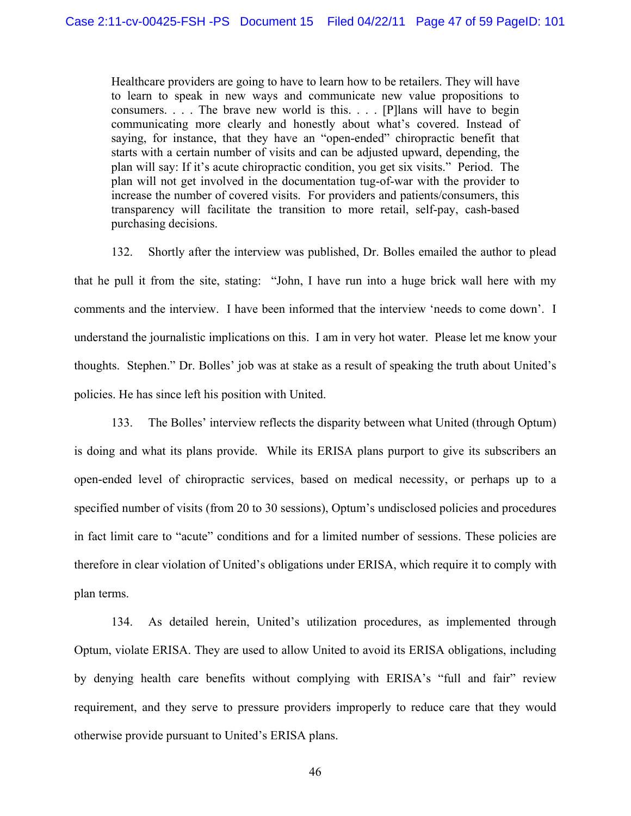Healthcare providers are going to have to learn how to be retailers. They will have to learn to speak in new ways and communicate new value propositions to consumers. . . . The brave new world is this. . . . [P]lans will have to begin communicating more clearly and honestly about what's covered. Instead of saying, for instance, that they have an "open-ended" chiropractic benefit that starts with a certain number of visits and can be adjusted upward, depending, the plan will say: If it's acute chiropractic condition, you get six visits." Period. The plan will not get involved in the documentation tug-of-war with the provider to increase the number of covered visits. For providers and patients/consumers, this transparency will facilitate the transition to more retail, self-pay, cash-based purchasing decisions.

132. Shortly after the interview was published, Dr. Bolles emailed the author to plead that he pull it from the site, stating: "John, I have run into a huge brick wall here with my comments and the interview. I have been informed that the interview 'needs to come down'. I understand the journalistic implications on this. I am in very hot water. Please let me know your thoughts. Stephen." Dr. Bolles' job was at stake as a result of speaking the truth about United's policies. He has since left his position with United.

133. The Bolles' interview reflects the disparity between what United (through Optum) is doing and what its plans provide. While its ERISA plans purport to give its subscribers an open-ended level of chiropractic services, based on medical necessity, or perhaps up to a specified number of visits (from 20 to 30 sessions), Optum's undisclosed policies and procedures in fact limit care to "acute" conditions and for a limited number of sessions. These policies are therefore in clear violation of United's obligations under ERISA, which require it to comply with plan terms.

134. As detailed herein, United's utilization procedures, as implemented through Optum, violate ERISA. They are used to allow United to avoid its ERISA obligations, including by denying health care benefits without complying with ERISA's "full and fair" review requirement, and they serve to pressure providers improperly to reduce care that they would otherwise provide pursuant to United's ERISA plans.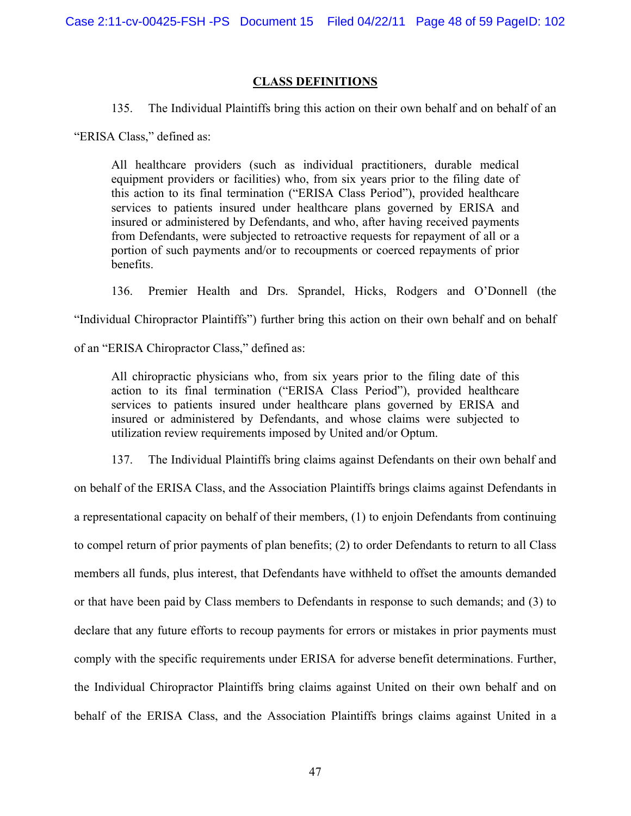## **CLASS DEFINITIONS**

135. The Individual Plaintiffs bring this action on their own behalf and on behalf of an

"ERISA Class," defined as:

All healthcare providers (such as individual practitioners, durable medical equipment providers or facilities) who, from six years prior to the filing date of this action to its final termination ("ERISA Class Period"), provided healthcare services to patients insured under healthcare plans governed by ERISA and insured or administered by Defendants, and who, after having received payments from Defendants, were subjected to retroactive requests for repayment of all or a portion of such payments and/or to recoupments or coerced repayments of prior benefits.

136. Premier Health and Drs. Sprandel, Hicks, Rodgers and O'Donnell (the

"Individual Chiropractor Plaintiffs") further bring this action on their own behalf and on behalf

of an "ERISA Chiropractor Class," defined as:

All chiropractic physicians who, from six years prior to the filing date of this action to its final termination ("ERISA Class Period"), provided healthcare services to patients insured under healthcare plans governed by ERISA and insured or administered by Defendants, and whose claims were subjected to utilization review requirements imposed by United and/or Optum.

137. The Individual Plaintiffs bring claims against Defendants on their own behalf and

on behalf of the ERISA Class, and the Association Plaintiffs brings claims against Defendants in a representational capacity on behalf of their members, (1) to enjoin Defendants from continuing to compel return of prior payments of plan benefits; (2) to order Defendants to return to all Class members all funds, plus interest, that Defendants have withheld to offset the amounts demanded or that have been paid by Class members to Defendants in response to such demands; and (3) to declare that any future efforts to recoup payments for errors or mistakes in prior payments must comply with the specific requirements under ERISA for adverse benefit determinations. Further, the Individual Chiropractor Plaintiffs bring claims against United on their own behalf and on behalf of the ERISA Class, and the Association Plaintiffs brings claims against United in a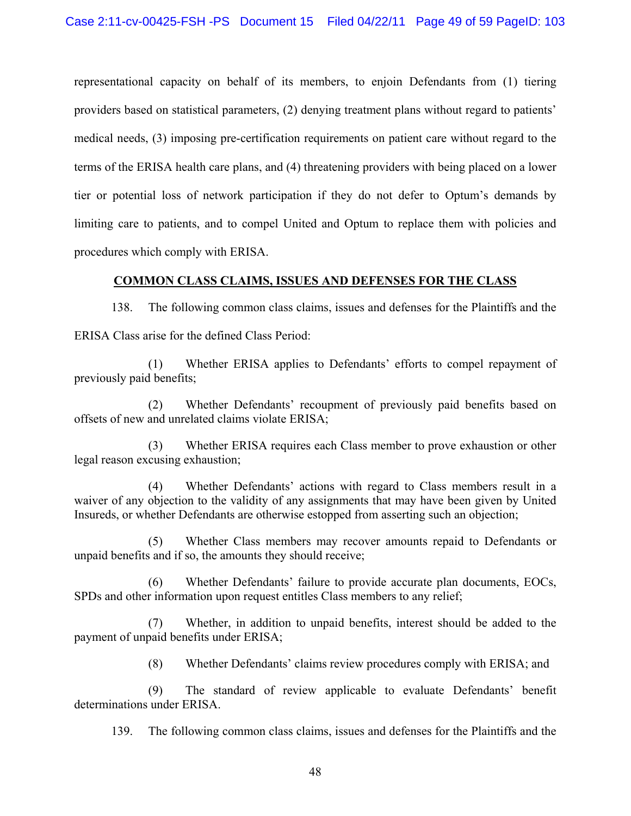representational capacity on behalf of its members, to enjoin Defendants from (1) tiering providers based on statistical parameters, (2) denying treatment plans without regard to patients' medical needs, (3) imposing pre-certification requirements on patient care without regard to the terms of the ERISA health care plans, and (4) threatening providers with being placed on a lower tier or potential loss of network participation if they do not defer to Optum's demands by limiting care to patients, and to compel United and Optum to replace them with policies and procedures which comply with ERISA.

# **COMMON CLASS CLAIMS, ISSUES AND DEFENSES FOR THE CLASS**

138. The following common class claims, issues and defenses for the Plaintiffs and the ERISA Class arise for the defined Class Period:

(1) Whether ERISA applies to Defendants' efforts to compel repayment of previously paid benefits;

(2) Whether Defendants' recoupment of previously paid benefits based on offsets of new and unrelated claims violate ERISA;

(3) Whether ERISA requires each Class member to prove exhaustion or other legal reason excusing exhaustion;

(4) Whether Defendants' actions with regard to Class members result in a waiver of any objection to the validity of any assignments that may have been given by United Insureds, or whether Defendants are otherwise estopped from asserting such an objection;

(5) Whether Class members may recover amounts repaid to Defendants or unpaid benefits and if so, the amounts they should receive;

(6) Whether Defendants' failure to provide accurate plan documents, EOCs, SPDs and other information upon request entitles Class members to any relief;

(7) Whether, in addition to unpaid benefits, interest should be added to the payment of unpaid benefits under ERISA;

(8) Whether Defendants' claims review procedures comply with ERISA; and

(9) The standard of review applicable to evaluate Defendants' benefit determinations under ERISA.

139. The following common class claims, issues and defenses for the Plaintiffs and the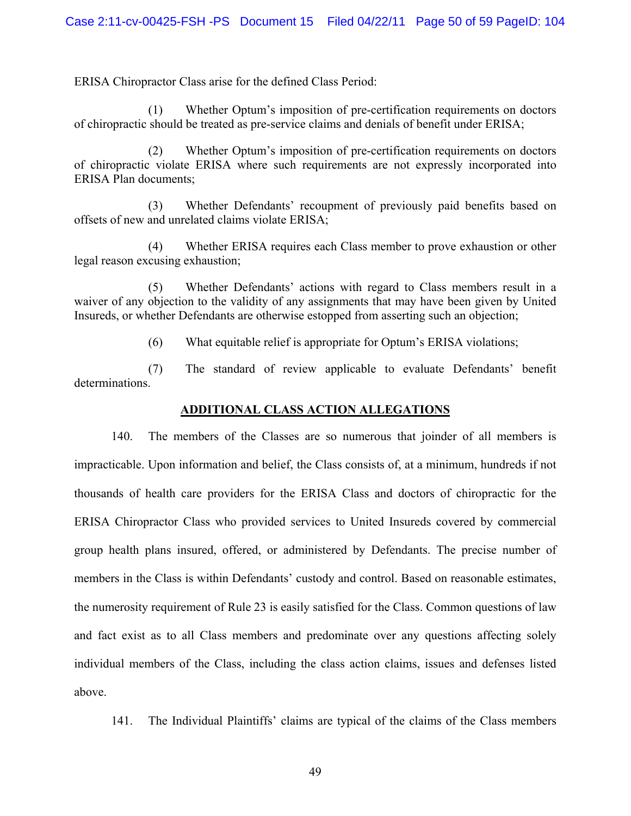ERISA Chiropractor Class arise for the defined Class Period:

(1) Whether Optum's imposition of pre-certification requirements on doctors of chiropractic should be treated as pre-service claims and denials of benefit under ERISA;

(2) Whether Optum's imposition of pre-certification requirements on doctors of chiropractic violate ERISA where such requirements are not expressly incorporated into ERISA Plan documents;

(3) Whether Defendants' recoupment of previously paid benefits based on offsets of new and unrelated claims violate ERISA;

(4) Whether ERISA requires each Class member to prove exhaustion or other legal reason excusing exhaustion;

(5) Whether Defendants' actions with regard to Class members result in a waiver of any objection to the validity of any assignments that may have been given by United Insureds, or whether Defendants are otherwise estopped from asserting such an objection;

(6) What equitable relief is appropriate for Optum's ERISA violations;

(7) The standard of review applicable to evaluate Defendants' benefit determinations.

## **ADDITIONAL CLASS ACTION ALLEGATIONS**

140. The members of the Classes are so numerous that joinder of all members is impracticable. Upon information and belief, the Class consists of, at a minimum, hundreds if not thousands of health care providers for the ERISA Class and doctors of chiropractic for the ERISA Chiropractor Class who provided services to United Insureds covered by commercial group health plans insured, offered, or administered by Defendants. The precise number of members in the Class is within Defendants' custody and control. Based on reasonable estimates, the numerosity requirement of Rule 23 is easily satisfied for the Class. Common questions of law and fact exist as to all Class members and predominate over any questions affecting solely individual members of the Class, including the class action claims, issues and defenses listed above.

141. The Individual Plaintiffs' claims are typical of the claims of the Class members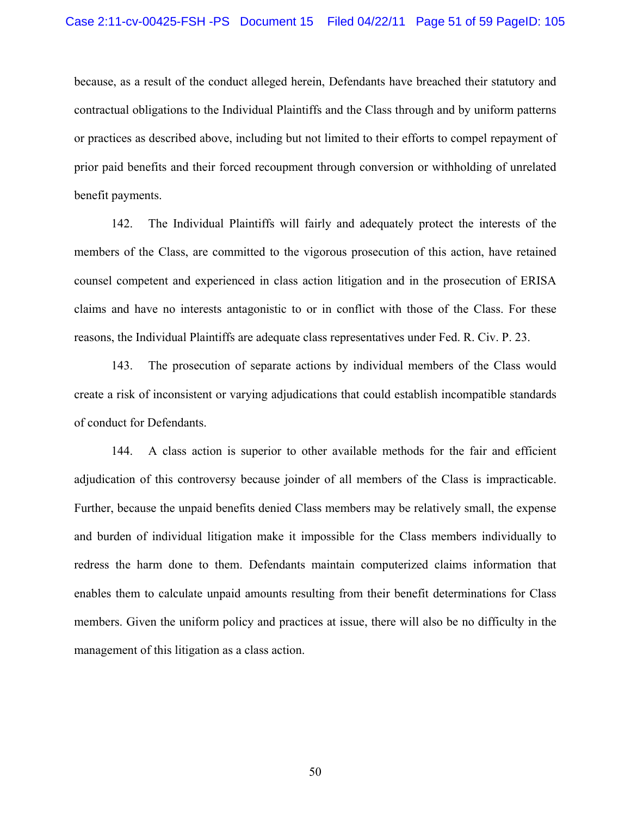because, as a result of the conduct alleged herein, Defendants have breached their statutory and contractual obligations to the Individual Plaintiffs and the Class through and by uniform patterns or practices as described above, including but not limited to their efforts to compel repayment of prior paid benefits and their forced recoupment through conversion or withholding of unrelated benefit payments.

142. The Individual Plaintiffs will fairly and adequately protect the interests of the members of the Class, are committed to the vigorous prosecution of this action, have retained counsel competent and experienced in class action litigation and in the prosecution of ERISA claims and have no interests antagonistic to or in conflict with those of the Class. For these reasons, the Individual Plaintiffs are adequate class representatives under Fed. R. Civ. P. 23.

143. The prosecution of separate actions by individual members of the Class would create a risk of inconsistent or varying adjudications that could establish incompatible standards of conduct for Defendants.

144. A class action is superior to other available methods for the fair and efficient adjudication of this controversy because joinder of all members of the Class is impracticable. Further, because the unpaid benefits denied Class members may be relatively small, the expense and burden of individual litigation make it impossible for the Class members individually to redress the harm done to them. Defendants maintain computerized claims information that enables them to calculate unpaid amounts resulting from their benefit determinations for Class members. Given the uniform policy and practices at issue, there will also be no difficulty in the management of this litigation as a class action.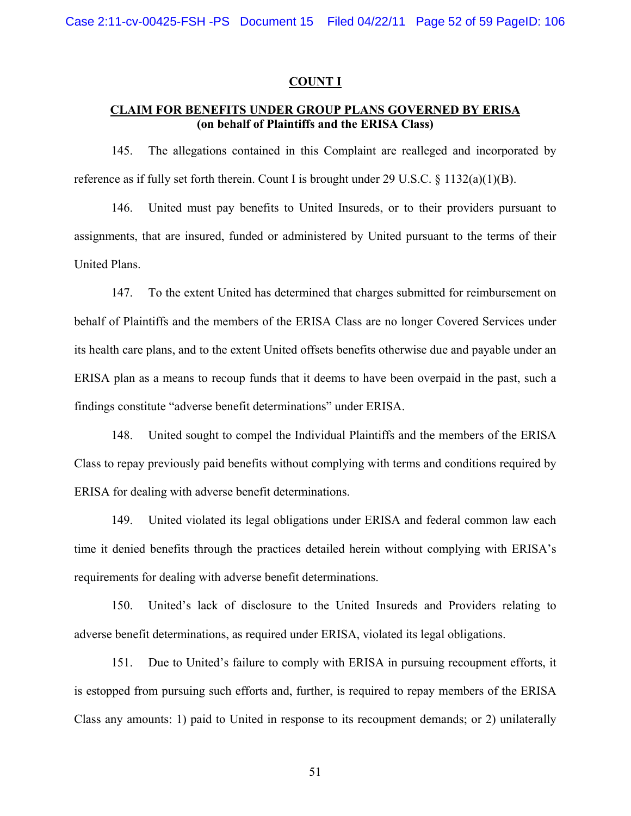#### **COUNT I**

# **CLAIM FOR BENEFITS UNDER GROUP PLANS GOVERNED BY ERISA (on behalf of Plaintiffs and the ERISA Class)**

145. The allegations contained in this Complaint are realleged and incorporated by reference as if fully set forth therein. Count I is brought under 29 U.S.C.  $\S$  1132(a)(1)(B).

146. United must pay benefits to United Insureds, or to their providers pursuant to assignments, that are insured, funded or administered by United pursuant to the terms of their United Plans.

147. To the extent United has determined that charges submitted for reimbursement on behalf of Plaintiffs and the members of the ERISA Class are no longer Covered Services under its health care plans, and to the extent United offsets benefits otherwise due and payable under an ERISA plan as a means to recoup funds that it deems to have been overpaid in the past, such a findings constitute "adverse benefit determinations" under ERISA.

148. United sought to compel the Individual Plaintiffs and the members of the ERISA Class to repay previously paid benefits without complying with terms and conditions required by ERISA for dealing with adverse benefit determinations.

149. United violated its legal obligations under ERISA and federal common law each time it denied benefits through the practices detailed herein without complying with ERISA's requirements for dealing with adverse benefit determinations.

150. United's lack of disclosure to the United Insureds and Providers relating to adverse benefit determinations, as required under ERISA, violated its legal obligations.

151. Due to United's failure to comply with ERISA in pursuing recoupment efforts, it is estopped from pursuing such efforts and, further, is required to repay members of the ERISA Class any amounts: 1) paid to United in response to its recoupment demands; or 2) unilaterally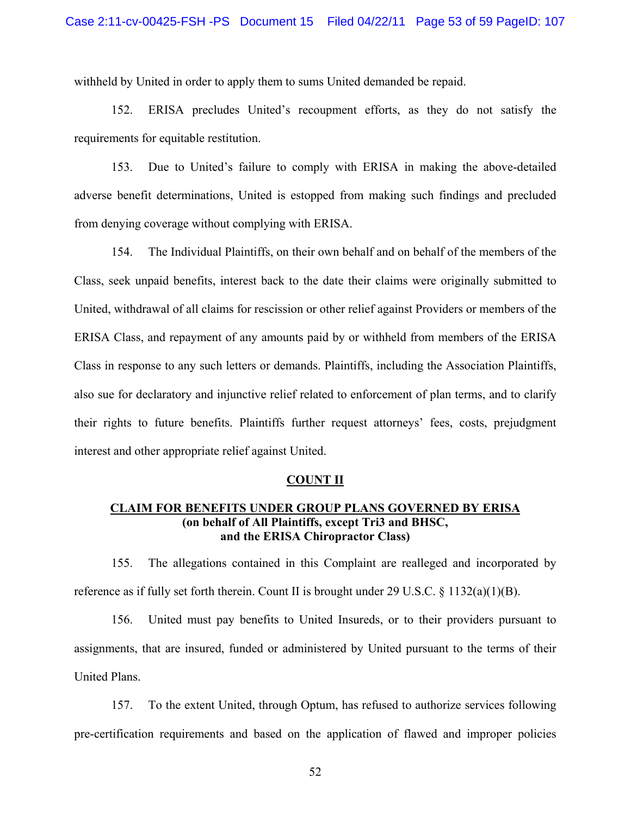withheld by United in order to apply them to sums United demanded be repaid.

152. ERISA precludes United's recoupment efforts, as they do not satisfy the requirements for equitable restitution.

153. Due to United's failure to comply with ERISA in making the above-detailed adverse benefit determinations, United is estopped from making such findings and precluded from denying coverage without complying with ERISA.

154. The Individual Plaintiffs, on their own behalf and on behalf of the members of the Class, seek unpaid benefits, interest back to the date their claims were originally submitted to United, withdrawal of all claims for rescission or other relief against Providers or members of the ERISA Class, and repayment of any amounts paid by or withheld from members of the ERISA Class in response to any such letters or demands. Plaintiffs, including the Association Plaintiffs, also sue for declaratory and injunctive relief related to enforcement of plan terms, and to clarify their rights to future benefits. Plaintiffs further request attorneys' fees, costs, prejudgment interest and other appropriate relief against United.

#### **COUNT II**

# **CLAIM FOR BENEFITS UNDER GROUP PLANS GOVERNED BY ERISA (on behalf of All Plaintiffs, except Tri3 and BHSC, and the ERISA Chiropractor Class)**

155. The allegations contained in this Complaint are realleged and incorporated by reference as if fully set forth therein. Count II is brought under 29 U.S.C.  $\S$  1132(a)(1)(B).

156. United must pay benefits to United Insureds, or to their providers pursuant to assignments, that are insured, funded or administered by United pursuant to the terms of their United Plans.

157. To the extent United, through Optum, has refused to authorize services following pre-certification requirements and based on the application of flawed and improper policies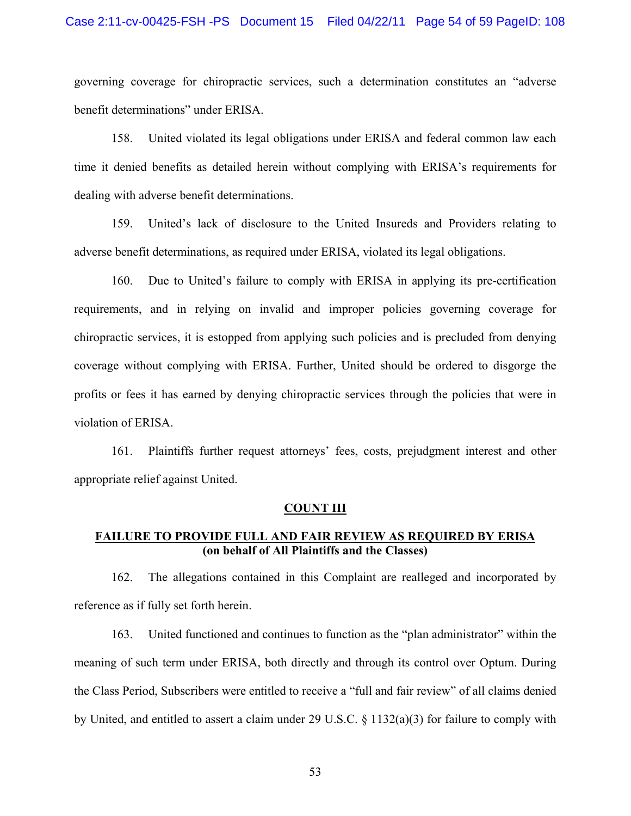#### Case 2:11-cv-00425-FSH -PS Document 15 Filed 04/22/11 Page 54 of 59 PageID: 108

governing coverage for chiropractic services, such a determination constitutes an "adverse benefit determinations" under ERISA.

158. United violated its legal obligations under ERISA and federal common law each time it denied benefits as detailed herein without complying with ERISA's requirements for dealing with adverse benefit determinations.

159. United's lack of disclosure to the United Insureds and Providers relating to adverse benefit determinations, as required under ERISA, violated its legal obligations.

160. Due to United's failure to comply with ERISA in applying its pre-certification requirements, and in relying on invalid and improper policies governing coverage for chiropractic services, it is estopped from applying such policies and is precluded from denying coverage without complying with ERISA. Further, United should be ordered to disgorge the profits or fees it has earned by denying chiropractic services through the policies that were in violation of ERISA.

161. Plaintiffs further request attorneys' fees, costs, prejudgment interest and other appropriate relief against United.

#### **COUNT III**

## **FAILURE TO PROVIDE FULL AND FAIR REVIEW AS REQUIRED BY ERISA (on behalf of All Plaintiffs and the Classes)**

162. The allegations contained in this Complaint are realleged and incorporated by reference as if fully set forth herein.

163. United functioned and continues to function as the "plan administrator" within the meaning of such term under ERISA, both directly and through its control over Optum. During the Class Period, Subscribers were entitled to receive a "full and fair review" of all claims denied by United, and entitled to assert a claim under 29 U.S.C. § 1132(a)(3) for failure to comply with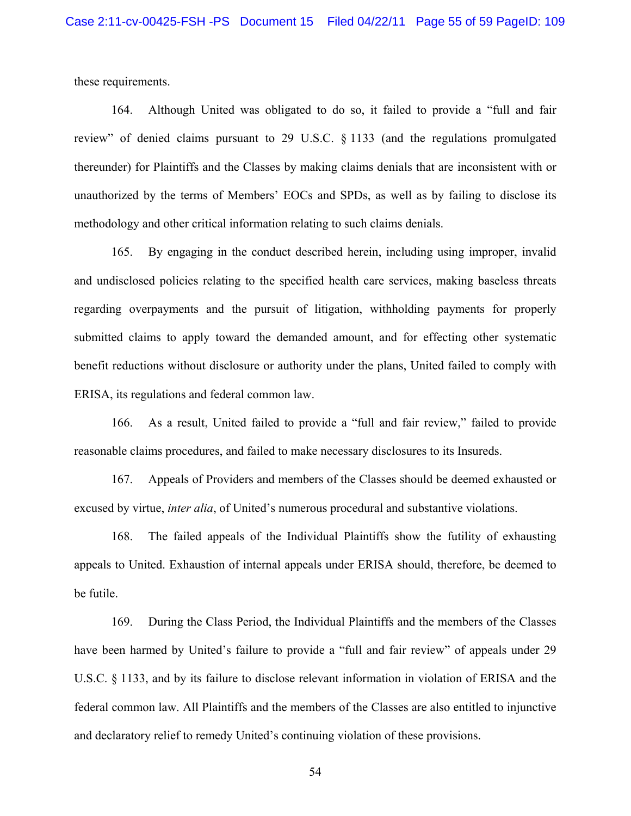these requirements.

164. Although United was obligated to do so, it failed to provide a "full and fair review" of denied claims pursuant to 29 U.S.C. § 1133 (and the regulations promulgated thereunder) for Plaintiffs and the Classes by making claims denials that are inconsistent with or unauthorized by the terms of Members' EOCs and SPDs, as well as by failing to disclose its methodology and other critical information relating to such claims denials.

165. By engaging in the conduct described herein, including using improper, invalid and undisclosed policies relating to the specified health care services, making baseless threats regarding overpayments and the pursuit of litigation, withholding payments for properly submitted claims to apply toward the demanded amount, and for effecting other systematic benefit reductions without disclosure or authority under the plans, United failed to comply with ERISA, its regulations and federal common law.

166. As a result, United failed to provide a "full and fair review," failed to provide reasonable claims procedures, and failed to make necessary disclosures to its Insureds.

167. Appeals of Providers and members of the Classes should be deemed exhausted or excused by virtue, *inter alia*, of United's numerous procedural and substantive violations.

168. The failed appeals of the Individual Plaintiffs show the futility of exhausting appeals to United. Exhaustion of internal appeals under ERISA should, therefore, be deemed to be futile.

169. During the Class Period, the Individual Plaintiffs and the members of the Classes have been harmed by United's failure to provide a "full and fair review" of appeals under 29 U.S.C. § 1133, and by its failure to disclose relevant information in violation of ERISA and the federal common law. All Plaintiffs and the members of the Classes are also entitled to injunctive and declaratory relief to remedy United's continuing violation of these provisions.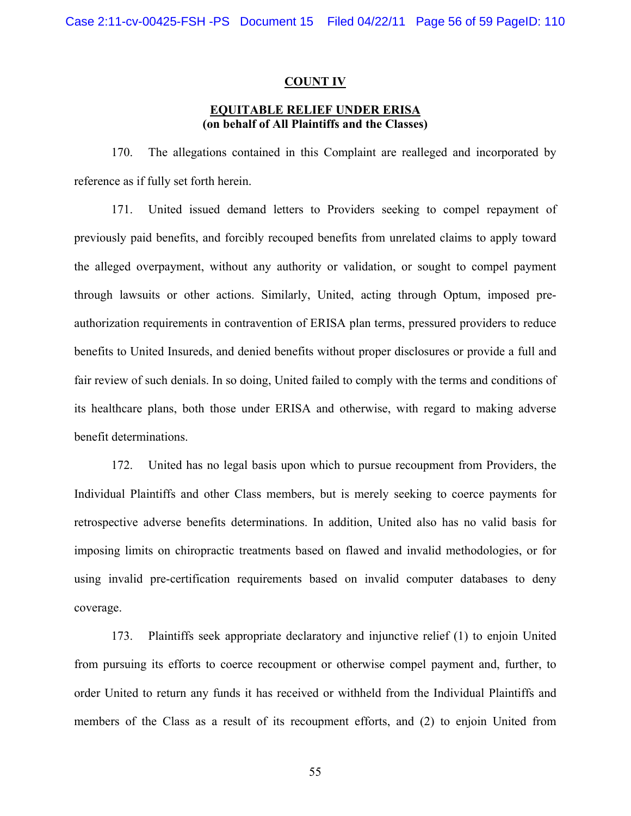#### **COUNT IV**

## **EQUITABLE RELIEF UNDER ERISA (on behalf of All Plaintiffs and the Classes)**

170. The allegations contained in this Complaint are realleged and incorporated by reference as if fully set forth herein.

171. United issued demand letters to Providers seeking to compel repayment of previously paid benefits, and forcibly recouped benefits from unrelated claims to apply toward the alleged overpayment, without any authority or validation, or sought to compel payment through lawsuits or other actions. Similarly, United, acting through Optum, imposed preauthorization requirements in contravention of ERISA plan terms, pressured providers to reduce benefits to United Insureds, and denied benefits without proper disclosures or provide a full and fair review of such denials. In so doing, United failed to comply with the terms and conditions of its healthcare plans, both those under ERISA and otherwise, with regard to making adverse benefit determinations.

172. United has no legal basis upon which to pursue recoupment from Providers, the Individual Plaintiffs and other Class members, but is merely seeking to coerce payments for retrospective adverse benefits determinations. In addition, United also has no valid basis for imposing limits on chiropractic treatments based on flawed and invalid methodologies, or for using invalid pre-certification requirements based on invalid computer databases to deny coverage.

173. Plaintiffs seek appropriate declaratory and injunctive relief (1) to enjoin United from pursuing its efforts to coerce recoupment or otherwise compel payment and, further, to order United to return any funds it has received or withheld from the Individual Plaintiffs and members of the Class as a result of its recoupment efforts, and (2) to enjoin United from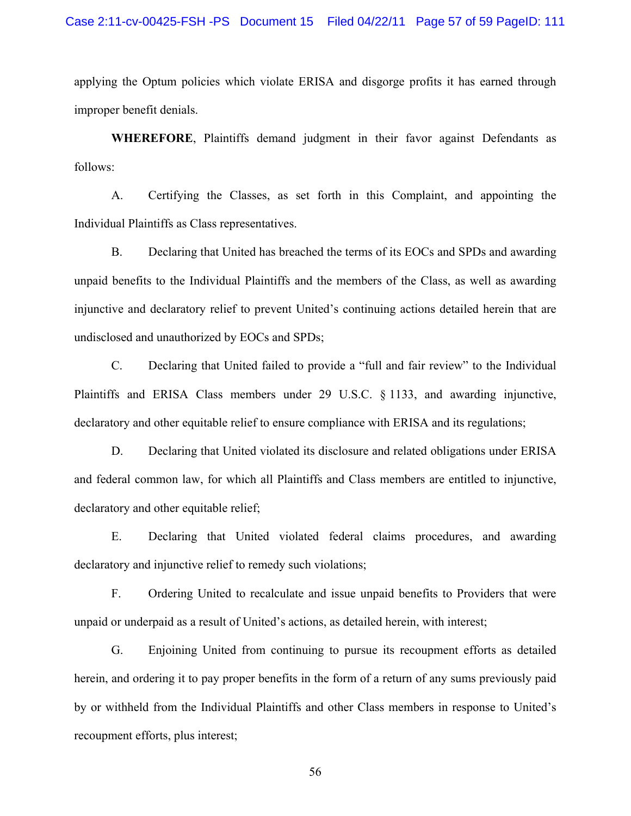applying the Optum policies which violate ERISA and disgorge profits it has earned through improper benefit denials.

**WHEREFORE**, Plaintiffs demand judgment in their favor against Defendants as follows:

A. Certifying the Classes, as set forth in this Complaint, and appointing the Individual Plaintiffs as Class representatives.

B. Declaring that United has breached the terms of its EOCs and SPDs and awarding unpaid benefits to the Individual Plaintiffs and the members of the Class, as well as awarding injunctive and declaratory relief to prevent United's continuing actions detailed herein that are undisclosed and unauthorized by EOCs and SPDs;

C. Declaring that United failed to provide a "full and fair review" to the Individual Plaintiffs and ERISA Class members under 29 U.S.C. § 1133, and awarding injunctive, declaratory and other equitable relief to ensure compliance with ERISA and its regulations;

D. Declaring that United violated its disclosure and related obligations under ERISA and federal common law, for which all Plaintiffs and Class members are entitled to injunctive, declaratory and other equitable relief;

E. Declaring that United violated federal claims procedures, and awarding declaratory and injunctive relief to remedy such violations;

F. Ordering United to recalculate and issue unpaid benefits to Providers that were unpaid or underpaid as a result of United's actions, as detailed herein, with interest;

G. Enjoining United from continuing to pursue its recoupment efforts as detailed herein, and ordering it to pay proper benefits in the form of a return of any sums previously paid by or withheld from the Individual Plaintiffs and other Class members in response to United's recoupment efforts, plus interest;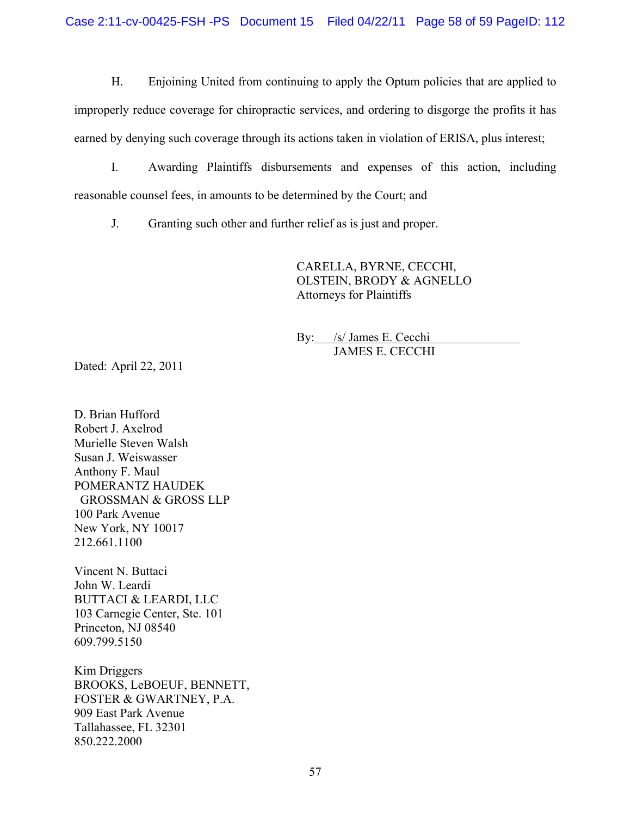H. Enjoining United from continuing to apply the Optum policies that are applied to improperly reduce coverage for chiropractic services, and ordering to disgorge the profits it has earned by denying such coverage through its actions taken in violation of ERISA, plus interest;

I. Awarding Plaintiffs disbursements and expenses of this action, including reasonable counsel fees, in amounts to be determined by the Court; and

J. Granting such other and further relief as is just and proper.

CARELLA, BYRNE, CECCHI, OLSTEIN, BRODY & AGNELLO Attorneys for Plaintiffs

By: /s/ James E. Cecchi JAMES E. CECCHI

Dated: April 22, 2011

D. Brian Hufford Robert J. Axelrod Murielle Steven Walsh Susan J. Weiswasser Anthony F. Maul POMERANTZ HAUDEK GROSSMAN & GROSS LLP 100 Park Avenue New York, NY 10017 212.661.1100

Vincent N. Buttaci John W. Leardi BUTTACI & LEARDI, LLC 103 Carnegie Center, Ste. 101 Princeton, NJ 08540 609.799.5150

Kim Driggers BROOKS, LeBOEUF, BENNETT, FOSTER & GWARTNEY, P.A. 909 East Park Avenue Tallahassee, FL 32301 850.222.2000